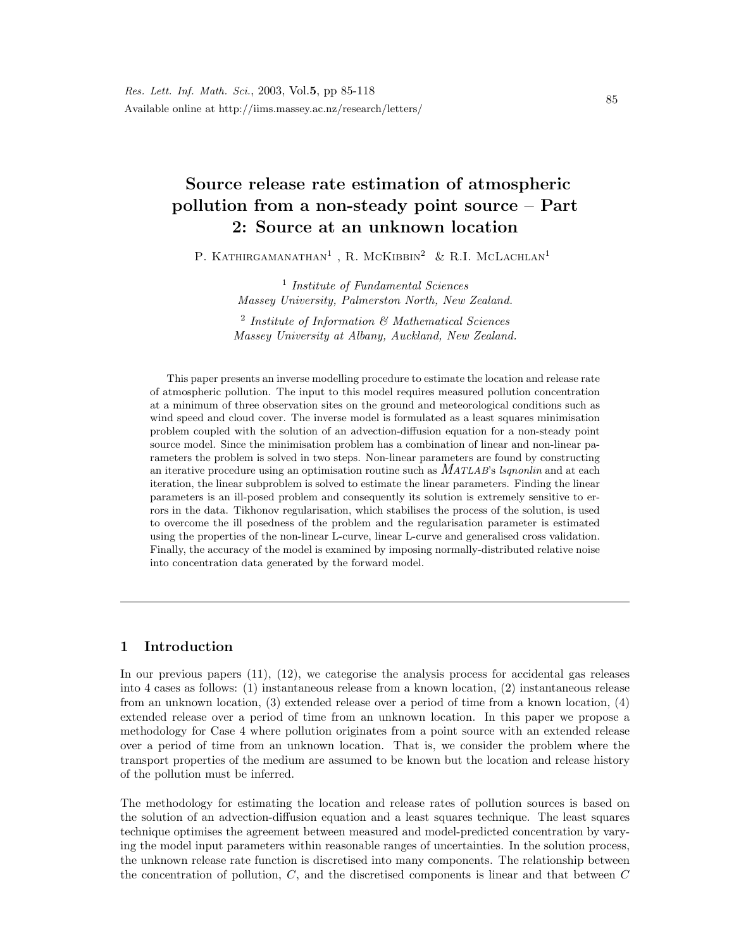# Source release rate estimation of atmospheric pollution from a non-steady point source – Part 2: Source at an unknown location

P. KATHIRGAMANATHAN<sup>1</sup>, R. MCKIBBIN<sup>2</sup> & R.I. MCLACHLAN<sup>1</sup>

<sup>1</sup> Institute of Fundamental Sciences Massey University, Palmerston North, New Zealand.

 $2$  Institute of Information  $\mathcal C$  Mathematical Sciences Massey University at Albany, Auckland, New Zealand.

This paper presents an inverse modelling procedure to estimate the location and release rate of atmospheric pollution. The input to this model requires measured pollution concentration at a minimum of three observation sites on the ground and meteorological conditions such as wind speed and cloud cover. The inverse model is formulated as a least squares minimisation problem coupled with the solution of an advection-diffusion equation for a non-steady point source model. Since the minimisation problem has a combination of linear and non-linear parameters the problem is solved in two steps. Non-linear parameters are found by constructing an iterative procedure using an optimisation routine such as  $MATLAB$ 's *lsqnonlin* and at each iteration, the linear subproblem is solved to estimate the linear parameters. Finding the linear parameters is an ill-posed problem and consequently its solution is extremely sensitive to errors in the data. Tikhonov regularisation, which stabilises the process of the solution, is used to overcome the ill posedness of the problem and the regularisation parameter is estimated using the properties of the non-linear L-curve, linear L-curve and generalised cross validation. Finally, the accuracy of the model is examined by imposing normally-distributed relative noise into concentration data generated by the forward model.

# 1 Introduction

In our previous papers (11), (12), we categorise the analysis process for accidental gas releases into 4 cases as follows: (1) instantaneous release from a known location, (2) instantaneous release from an unknown location, (3) extended release over a period of time from a known location, (4) extended release over a period of time from an unknown location. In this paper we propose a methodology for Case 4 where pollution originates from a point source with an extended release over a period of time from an unknown location. That is, we consider the problem where the transport properties of the medium are assumed to be known but the location and release history of the pollution must be inferred.

The methodology for estimating the location and release rates of pollution sources is based on the solution of an advection-diffusion equation and a least squares technique. The least squares technique optimises the agreement between measured and model-predicted concentration by varying the model input parameters within reasonable ranges of uncertainties. In the solution process, the unknown release rate function is discretised into many components. The relationship between the concentration of pollution,  $C$ , and the discretised components is linear and that between  $C$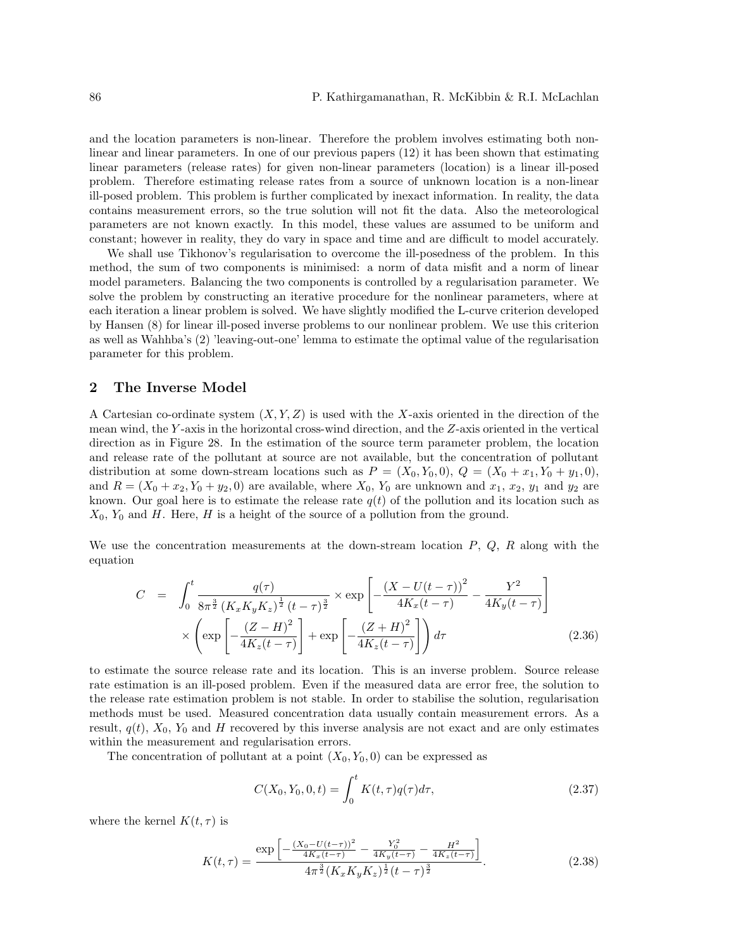and the location parameters is non-linear. Therefore the problem involves estimating both nonlinear and linear parameters. In one of our previous papers (12) it has been shown that estimating linear parameters (release rates) for given non-linear parameters (location) is a linear ill-posed problem. Therefore estimating release rates from a source of unknown location is a non-linear ill-posed problem. This problem is further complicated by inexact information. In reality, the data contains measurement errors, so the true solution will not fit the data. Also the meteorological parameters are not known exactly. In this model, these values are assumed to be uniform and constant; however in reality, they do vary in space and time and are difficult to model accurately.

We shall use Tikhonov's regularisation to overcome the ill-posedness of the problem. In this method, the sum of two components is minimised: a norm of data misfit and a norm of linear model parameters. Balancing the two components is controlled by a regularisation parameter. We solve the problem by constructing an iterative procedure for the nonlinear parameters, where at each iteration a linear problem is solved. We have slightly modified the L-curve criterion developed by Hansen (8) for linear ill-posed inverse problems to our nonlinear problem. We use this criterion as well as Wahhba's (2) 'leaving-out-one' lemma to estimate the optimal value of the regularisation parameter for this problem.

## 2 The Inverse Model

A Cartesian co-ordinate system  $(X, Y, Z)$  is used with the X-axis oriented in the direction of the mean wind, the Y -axis in the horizontal cross-wind direction, and the Z-axis oriented in the vertical direction as in Figure 28. In the estimation of the source term parameter problem, the location and release rate of the pollutant at source are not available, but the concentration of pollutant distribution at some down-stream locations such as  $P = (X_0, Y_0, 0), Q = (X_0 + x_1, Y_0 + y_1, 0),$ and  $R = (X_0 + x_2, Y_0 + y_2, 0)$  are available, where  $X_0, Y_0$  are unknown and  $x_1, x_2, y_1$  and  $y_2$  are known. Our goal here is to estimate the release rate  $q(t)$  of the pollution and its location such as  $X_0, Y_0$  and H. Here, H is a height of the source of a pollution from the ground.

We use the concentration measurements at the down-stream location  $P, Q, R$  along with the equation

$$
C = \int_0^t \frac{q(\tau)}{8\pi^{\frac{3}{2}} \left(K_x K_y K_z\right)^{\frac{1}{2}} (t-\tau)^{\frac{3}{2}}} \times \exp\left[-\frac{\left(X - U(t-\tau)\right)^2}{4K_x (t-\tau)} - \frac{Y^2}{4K_y (t-\tau)}\right] \times \left(\exp\left[-\frac{\left(Z - H\right)^2}{4K_z (t-\tau)}\right] + \exp\left[-\frac{\left(Z + H\right)^2}{4K_z (t-\tau)}\right]\right) d\tau \tag{2.36}
$$

to estimate the source release rate and its location. This is an inverse problem. Source release rate estimation is an ill-posed problem. Even if the measured data are error free, the solution to the release rate estimation problem is not stable. In order to stabilise the solution, regularisation methods must be used. Measured concentration data usually contain measurement errors. As a result,  $q(t)$ ,  $X_0$ ,  $Y_0$  and H recovered by this inverse analysis are not exact and are only estimates within the measurement and regularisation errors.

The concentration of pollutant at a point  $(X_0, Y_0, 0)$  can be expressed as

$$
C(X_0, Y_0, 0, t) = \int_0^t K(t, \tau) q(\tau) d\tau,
$$
\n(2.37)

where the kernel  $K(t, \tau)$  is

$$
K(t,\tau) = \frac{\exp\left[-\frac{(X_0 - U(t-\tau))^2}{4K_x(t-\tau)} - \frac{Y_0^2}{4K_y(t-\tau)} - \frac{H^2}{4K_z(t-\tau)}\right]}{4\pi^{\frac{3}{2}}(K_xK_yK_z)^{\frac{1}{2}}(t-\tau)^{\frac{3}{2}}}.
$$
(2.38)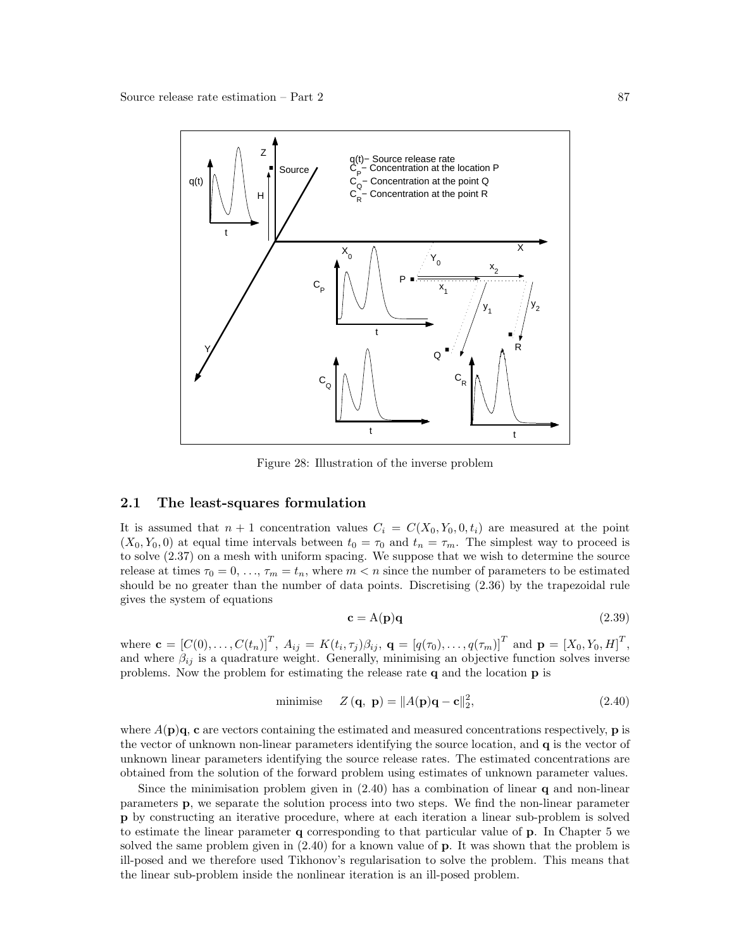

Figure 28: Illustration of the inverse problem

### 2.1 The least-squares formulation

It is assumed that  $n + 1$  concentration values  $C_i = C(X_0, Y_0, 0, t_i)$  are measured at the point  $(X_0, Y_0, 0)$  at equal time intervals between  $t_0 = \tau_0$  and  $t_n = \tau_m$ . The simplest way to proceed is to solve (2.37) on a mesh with uniform spacing. We suppose that we wish to determine the source release at times  $\tau_0 = 0, \ldots, \tau_m = t_n$ , where  $m < n$  since the number of parameters to be estimated should be no greater than the number of data points. Discretising (2.36) by the trapezoidal rule gives the system of equations

$$
\mathbf{c} = \mathbf{A}(\mathbf{p})\mathbf{q} \tag{2.39}
$$

where  $\mathbf{c} = [C(0), \ldots, C(t_n)]^T$ ,  $A_{ij} = K(t_i, \tau_j) \beta_{ij}$ ,  $\mathbf{q} = [q(\tau_0), \ldots, q(\tau_m)]^T$  and  $\mathbf{p} = [X_0, Y_0, H]^T$ , and where  $\beta_{ij}$  is a quadrature weight. Generally, minimising an objective function solves inverse problems. Now the problem for estimating the release rate q and the location p is

$$
\text{minimise} \quad Z(\mathbf{q}, \mathbf{p}) = \|A(\mathbf{p})\mathbf{q} - \mathbf{c}\|_2^2,\tag{2.40}
$$

where  $A(\mathbf{p})\mathbf{q}$ , **c** are vectors containing the estimated and measured concentrations respectively, **p** is the vector of unknown non-linear parameters identifying the source location, and q is the vector of unknown linear parameters identifying the source release rates. The estimated concentrations are obtained from the solution of the forward problem using estimates of unknown parameter values.

Since the minimisation problem given in  $(2.40)$  has a combination of linear q and non-linear parameters p, we separate the solution process into two steps. We find the non-linear parameter p by constructing an iterative procedure, where at each iteration a linear sub-problem is solved to estimate the linear parameter q corresponding to that particular value of p. In Chapter 5 we solved the same problem given in (2.40) for a known value of p. It was shown that the problem is ill-posed and we therefore used Tikhonov's regularisation to solve the problem. This means that the linear sub-problem inside the nonlinear iteration is an ill-posed problem.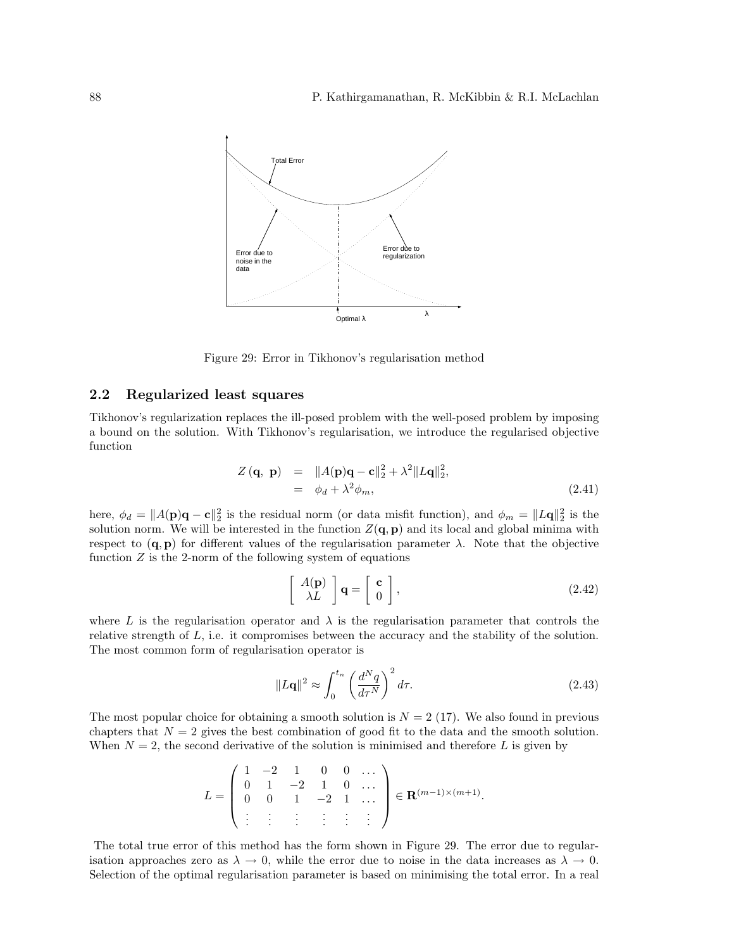

Figure 29: Error in Tikhonov's regularisation method

## 2.2 Regularized least squares

Tikhonov's regularization replaces the ill-posed problem with the well-posed problem by imposing a bound on the solution. With Tikhonov's regularisation, we introduce the regularised objective function

$$
Z(\mathbf{q}, \mathbf{p}) = ||A(\mathbf{p})\mathbf{q} - \mathbf{c}||_2^2 + \lambda^2 ||L\mathbf{q}||_2^2,
$$
  
=  $\phi_d + \lambda^2 \phi_m,$  (2.41)

here,  $\phi_d = ||A(\mathbf{p})\mathbf{q} - \mathbf{c}||_2^2$  is the residual norm (or data misfit function), and  $\phi_m = ||L\mathbf{q}||_2^2$  is the solution norm. We will be interested in the function  $Z(\mathbf{q}, \mathbf{p})$  and its local and global minima with respect to  $(q, p)$  for different values of the regularisation parameter  $\lambda$ . Note that the objective function  $Z$  is the 2-norm of the following system of equations

$$
\left[\begin{array}{c} A(\mathbf{p}) \\ \lambda L \end{array}\right] \mathbf{q} = \left[\begin{array}{c} \mathbf{c} \\ 0 \end{array}\right],\tag{2.42}
$$

where L is the regularisation operator and  $\lambda$  is the regularisation parameter that controls the relative strength of  $L$ , i.e. it compromises between the accuracy and the stability of the solution. The most common form of regularisation operator is

$$
||L\mathbf{q}||^2 \approx \int_0^{t_n} \left(\frac{d^N q}{d\tau^N}\right)^2 d\tau.
$$
 (2.43)

The most popular choice for obtaining a smooth solution is  $N = 2$  (17). We also found in previous chapters that  $N = 2$  gives the best combination of good fit to the data and the smooth solution. When  $N = 2$ , the second derivative of the solution is minimised and therefore L is given by

$$
L = \begin{pmatrix} 1 & -2 & 1 & 0 & 0 & \dots \\ 0 & 1 & -2 & 1 & 0 & \dots \\ 0 & 0 & 1 & -2 & 1 & \dots \\ \vdots & \vdots & \vdots & \vdots & \vdots & \vdots \end{pmatrix} \in \mathbf{R}^{(m-1)\times(m+1)}.
$$

The total true error of this method has the form shown in Figure 29. The error due to regularisation approaches zero as  $\lambda \to 0$ , while the error due to noise in the data increases as  $\lambda \to 0$ . Selection of the optimal regularisation parameter is based on minimising the total error. In a real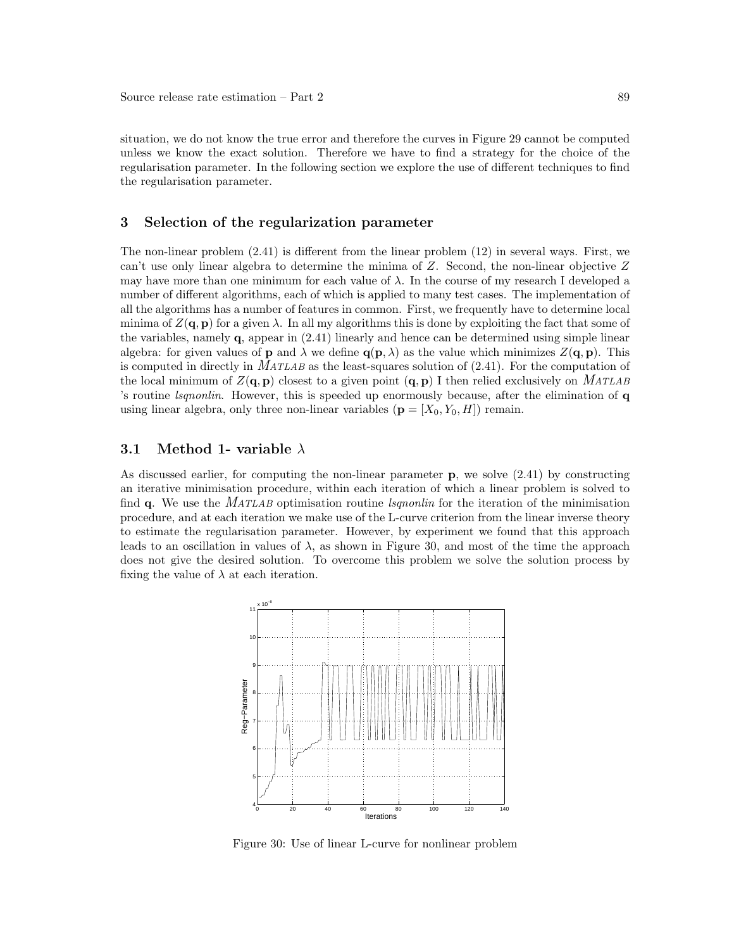situation, we do not know the true error and therefore the curves in Figure 29 cannot be computed unless we know the exact solution. Therefore we have to find a strategy for the choice of the regularisation parameter. In the following section we explore the use of different techniques to find the regularisation parameter.

## 3 Selection of the regularization parameter

The non-linear problem (2.41) is different from the linear problem (12) in several ways. First, we can't use only linear algebra to determine the minima of Z. Second, the non-linear objective Z may have more than one minimum for each value of  $\lambda$ . In the course of my research I developed a number of different algorithms, each of which is applied to many test cases. The implementation of all the algorithms has a number of features in common. First, we frequently have to determine local minima of  $Z(\mathbf{q}, \mathbf{p})$  for a given  $\lambda$ . In all my algorithms this is done by exploiting the fact that some of the variables, namely  $q$ , appear in  $(2.41)$  linearly and hence can be determined using simple linear algebra: for given values of **p** and  $\lambda$  we define  $q(p, \lambda)$  as the value which minimizes  $Z(q, p)$ . This is computed in directly in MATLAB as the least-squares solution of (2.41). For the computation of the local minimum of  $Z(\mathbf{q}, \mathbf{p})$  closest to a given point  $(\mathbf{q}, \mathbf{p})$  I then relied exclusively on MATLAB 's routine lsqnonlin. However, this is speeded up enormously because, after the elimination of q using linear algebra, only three non-linear variables  $(p = [X_0, Y_0, H])$  remain.

## 3.1 Method 1- variable  $\lambda$

As discussed earlier, for computing the non-linear parameter  $\bf{p}$ , we solve (2.41) by constructing an iterative minimisation procedure, within each iteration of which a linear problem is solved to find q. We use the *MATLAB* optimisation routine *lsgnonlin* for the iteration of the minimisation procedure, and at each iteration we make use of the L-curve criterion from the linear inverse theory to estimate the regularisation parameter. However, by experiment we found that this approach leads to an oscillation in values of  $\lambda$ , as shown in Figure 30, and most of the time the approach does not give the desired solution. To overcome this problem we solve the solution process by fixing the value of  $\lambda$  at each iteration.



Figure 30: Use of linear L-curve for nonlinear problem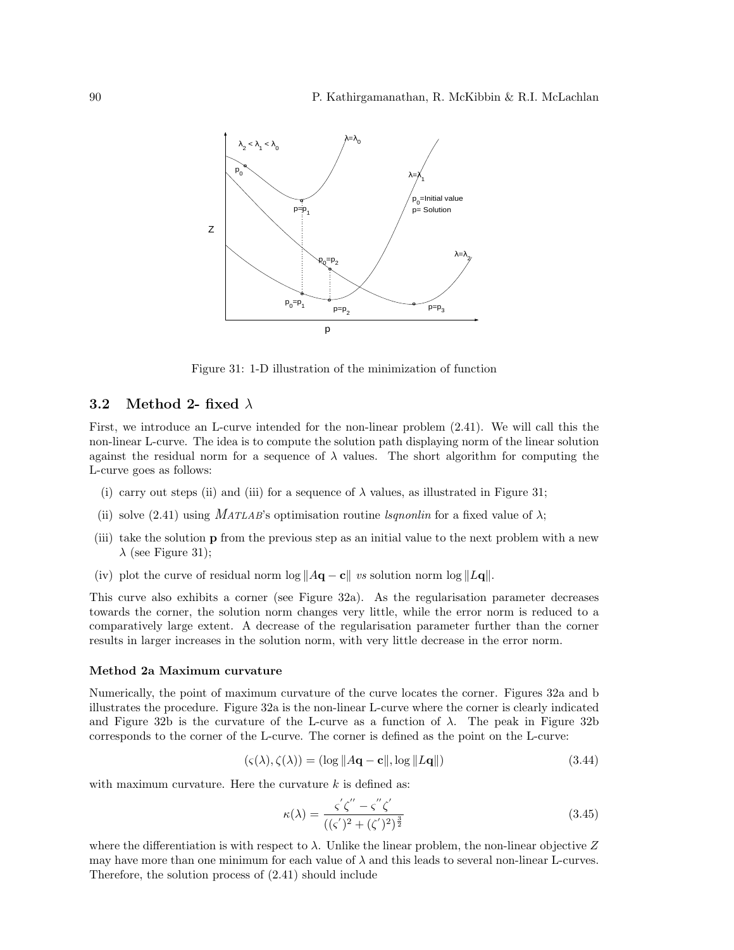

Figure 31: 1-D illustration of the minimization of function

## 3.2 Method 2- fixed  $\lambda$

First, we introduce an L-curve intended for the non-linear problem (2.41). We will call this the non-linear L-curve. The idea is to compute the solution path displaying norm of the linear solution against the residual norm for a sequence of  $\lambda$  values. The short algorithm for computing the L-curve goes as follows:

- (i) carry out steps (ii) and (iii) for a sequence of  $\lambda$  values, as illustrated in Figure 31;
- (ii) solve (2.41) using MATLAB's optimisation routine *lsqnonlin* for a fixed value of  $\lambda$ ;
- (iii) take the solution p from the previous step as an initial value to the next problem with a new  $\lambda$  (see Figure 31);
- (iv) plot the curve of residual norm log  $||A\mathbf{q} \mathbf{c}||$  vs solution norm log  $||L\mathbf{q}||$ .

This curve also exhibits a corner (see Figure 32a). As the regularisation parameter decreases towards the corner, the solution norm changes very little, while the error norm is reduced to a comparatively large extent. A decrease of the regularisation parameter further than the corner results in larger increases in the solution norm, with very little decrease in the error norm.

#### Method 2a Maximum curvature

Numerically, the point of maximum curvature of the curve locates the corner. Figures 32a and b illustrates the procedure. Figure 32a is the non-linear L-curve where the corner is clearly indicated and Figure 32b is the curvature of the L-curve as a function of  $\lambda$ . The peak in Figure 32b corresponds to the corner of the L-curve. The corner is defined as the point on the L-curve:

$$
(\varsigma(\lambda), \zeta(\lambda)) = (\log ||A\mathbf{q} - \mathbf{c}||, \log ||L\mathbf{q}||) \tag{3.44}
$$

with maximum curvature. Here the curvature  $k$  is defined as:

$$
\kappa(\lambda) = \frac{\varsigma' \zeta'' - \varsigma'' \zeta'}{((\varsigma')^2 + (\zeta')^2)^{\frac{3}{2}}} \tag{3.45}
$$

where the differentiation is with respect to  $\lambda$ . Unlike the linear problem, the non-linear objective Z may have more than one minimum for each value of  $\lambda$  and this leads to several non-linear L-curves. Therefore, the solution process of (2.41) should include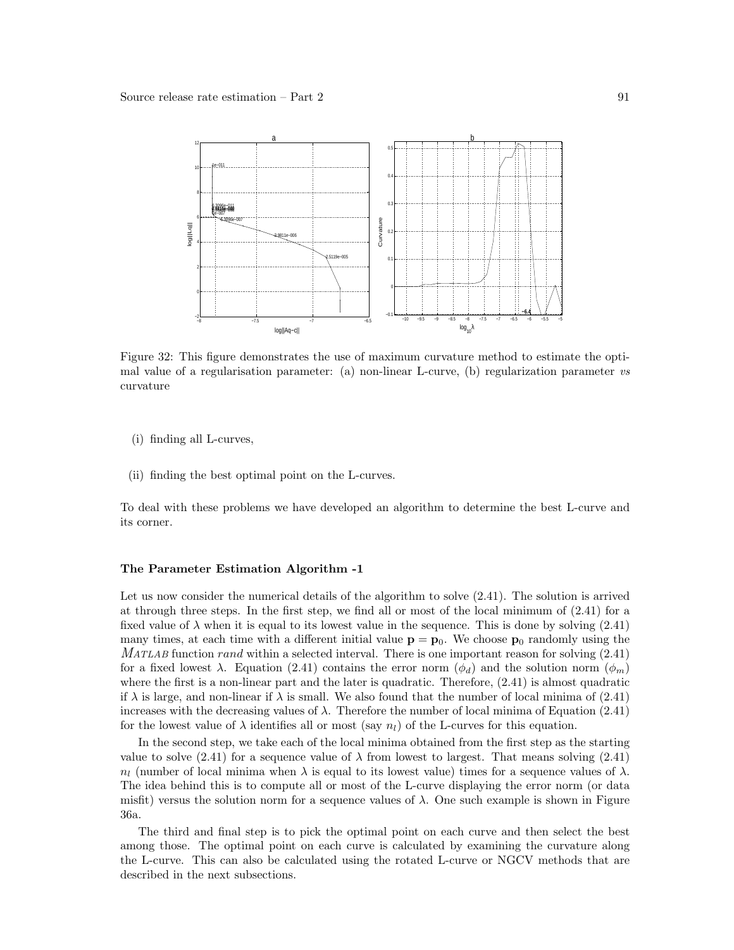

Figure 32: This figure demonstrates the use of maximum curvature method to estimate the optimal value of a regularisation parameter: (a) non-linear L-curve, (b) regularization parameter vs curvature

- (i) finding all L-curves,
- (ii) finding the best optimal point on the L-curves.

To deal with these problems we have developed an algorithm to determine the best L-curve and its corner.

#### The Parameter Estimation Algorithm -1

Let us now consider the numerical details of the algorithm to solve (2.41). The solution is arrived at through three steps. In the first step, we find all or most of the local minimum of (2.41) for a fixed value of  $\lambda$  when it is equal to its lowest value in the sequence. This is done by solving (2.41) many times, at each time with a different initial value  $p = p_0$ . We choose  $p_0$  randomly using the  $MATLAB$  function rand within a selected interval. There is one important reason for solving  $(2.41)$ for a fixed lowest  $\lambda$ . Equation (2.41) contains the error norm  $(\phi_d)$  and the solution norm  $(\phi_m)$ where the first is a non-linear part and the later is quadratic. Therefore, (2.41) is almost quadratic if  $\lambda$  is large, and non-linear if  $\lambda$  is small. We also found that the number of local minima of (2.41) increases with the decreasing values of  $\lambda$ . Therefore the number of local minima of Equation (2.41) for the lowest value of  $\lambda$  identifies all or most (say  $n_l$ ) of the L-curves for this equation.

In the second step, we take each of the local minima obtained from the first step as the starting value to solve (2.41) for a sequence value of  $\lambda$  from lowest to largest. That means solving (2.41)  $n_l$  (number of local minima when  $\lambda$  is equal to its lowest value) times for a sequence values of  $\lambda$ . The idea behind this is to compute all or most of the L-curve displaying the error norm (or data misfit) versus the solution norm for a sequence values of  $\lambda$ . One such example is shown in Figure 36a.

The third and final step is to pick the optimal point on each curve and then select the best among those. The optimal point on each curve is calculated by examining the curvature along the L-curve. This can also be calculated using the rotated L-curve or NGCV methods that are described in the next subsections.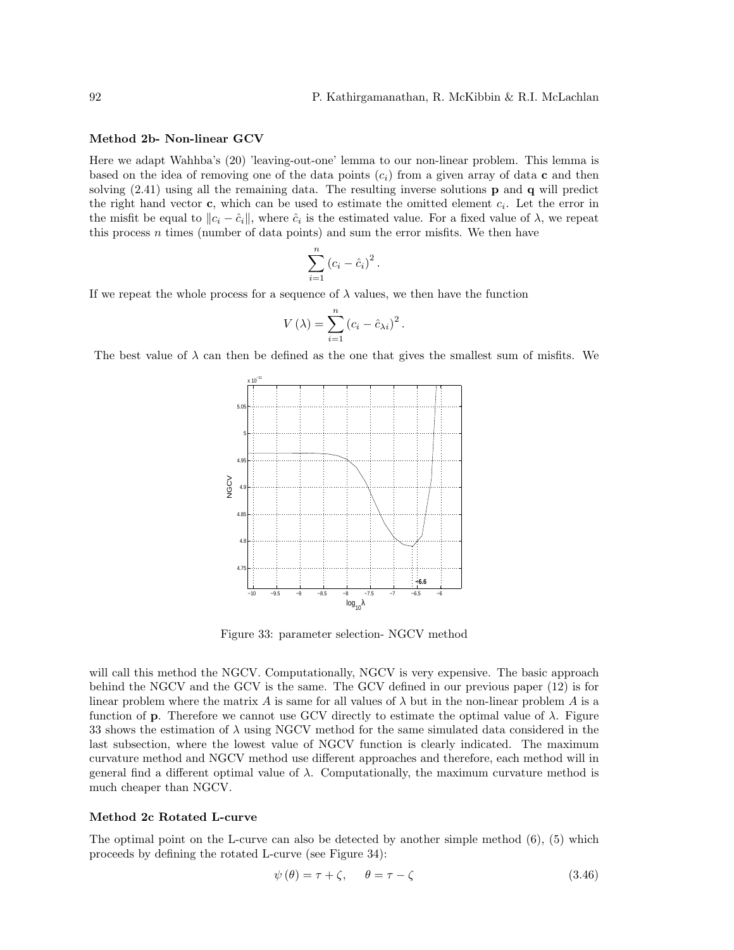## Method 2b- Non-linear GCV

Here we adapt Wahhba's (20) 'leaving-out-one' lemma to our non-linear problem. This lemma is based on the idea of removing one of the data points  $(c_i)$  from a given array of data c and then solving (2.41) using all the remaining data. The resulting inverse solutions p and q will predict the right hand vector  $\mathbf{c}$ , which can be used to estimate the omitted element  $c_i$ . Let the error in the misfit be equal to  $||c_i - \hat{c}_i||$ , where  $\hat{c}_i$  is the estimated value. For a fixed value of  $\lambda$ , we repeat this process n times (number of data points) and sum the error misfits. We then have

$$
\sum_{i=1}^n (c_i - \hat{c}_i)^2.
$$

If we repeat the whole process for a sequence of  $\lambda$  values, we then have the function

$$
V(\lambda) = \sum_{i=1}^{n} (c_i - \hat{c}_{\lambda i})^2.
$$

The best value of  $\lambda$  can then be defined as the one that gives the smallest sum of misfits. We



Figure 33: parameter selection- NGCV method

will call this method the NGCV. Computationally, NGCV is very expensive. The basic approach behind the NGCV and the GCV is the same. The GCV defined in our previous paper (12) is for linear problem where the matrix A is same for all values of  $\lambda$  but in the non-linear problem A is a function of **p**. Therefore we cannot use GCV directly to estimate the optimal value of  $\lambda$ . Figure 33 shows the estimation of  $\lambda$  using NGCV method for the same simulated data considered in the last subsection, where the lowest value of NGCV function is clearly indicated. The maximum curvature method and NGCV method use different approaches and therefore, each method will in general find a different optimal value of  $\lambda$ . Computationally, the maximum curvature method is much cheaper than NGCV.

#### Method 2c Rotated L-curve

The optimal point on the L-curve can also be detected by another simple method (6), (5) which proceeds by defining the rotated L-curve (see Figure 34):

$$
\psi(\theta) = \tau + \zeta, \quad \theta = \tau - \zeta \tag{3.46}
$$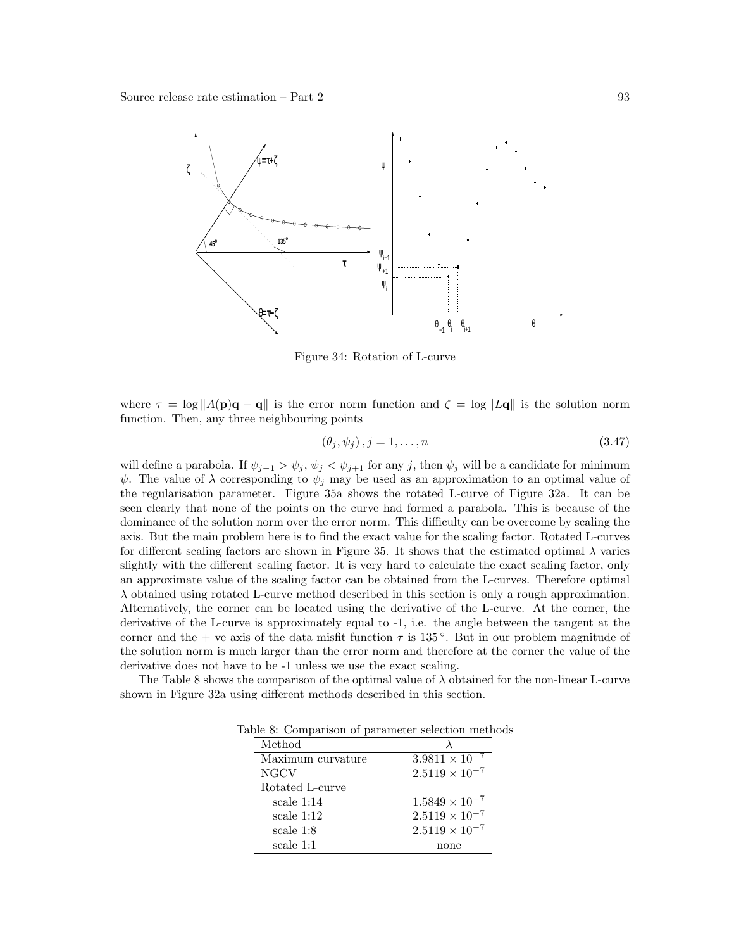

Figure 34: Rotation of L-curve

where  $\tau = \log ||A(\mathbf{p})\mathbf{q} - \mathbf{q}||$  is the error norm function and  $\zeta = \log ||L\mathbf{q}||$  is the solution norm function. Then, any three neighbouring points

$$
(\theta_j, \psi_j), j = 1, \dots, n \tag{3.47}
$$

will define a parabola. If  $\psi_{j-1} > \psi_j$ ,  $\psi_j < \psi_{j+1}$  for any j, then  $\psi_j$  will be a candidate for minimum  $\psi$ . The value of  $\lambda$  corresponding to  $\psi_j$  may be used as an approximation to an optimal value of the regularisation parameter. Figure 35a shows the rotated L-curve of Figure 32a. It can be seen clearly that none of the points on the curve had formed a parabola. This is because of the dominance of the solution norm over the error norm. This difficulty can be overcome by scaling the axis. But the main problem here is to find the exact value for the scaling factor. Rotated L-curves for different scaling factors are shown in Figure 35. It shows that the estimated optimal  $\lambda$  varies slightly with the different scaling factor. It is very hard to calculate the exact scaling factor, only an approximate value of the scaling factor can be obtained from the L-curves. Therefore optimal  $\lambda$  obtained using rotated L-curve method described in this section is only a rough approximation. Alternatively, the corner can be located using the derivative of the L-curve. At the corner, the derivative of the L-curve is approximately equal to -1, i.e. the angle between the tangent at the corner and the + ve axis of the data misfit function  $\tau$  is 135°. But in our problem magnitude of the solution norm is much larger than the error norm and therefore at the corner the value of the derivative does not have to be -1 unless we use the exact scaling.

The Table 8 shows the comparison of the optimal value of  $\lambda$  obtained for the non-linear L-curve shown in Figure 32a using different methods described in this section.

Table 8: Comparison of parameter selection methods

| Method            |                         |
|-------------------|-------------------------|
| Maximum curvature | $3.9811 \times 10^{-7}$ |
| <b>NGCV</b>       | $2.5119 \times 10^{-7}$ |
| Rotated L-curve   |                         |
| scale $1:14$      | $1.5849 \times 10^{-7}$ |
| scale $1:12$      | $2.5119 \times 10^{-7}$ |
| scale $1:8$       | $2.5119 \times 10^{-7}$ |
| scale 1:1         | none                    |
|                   |                         |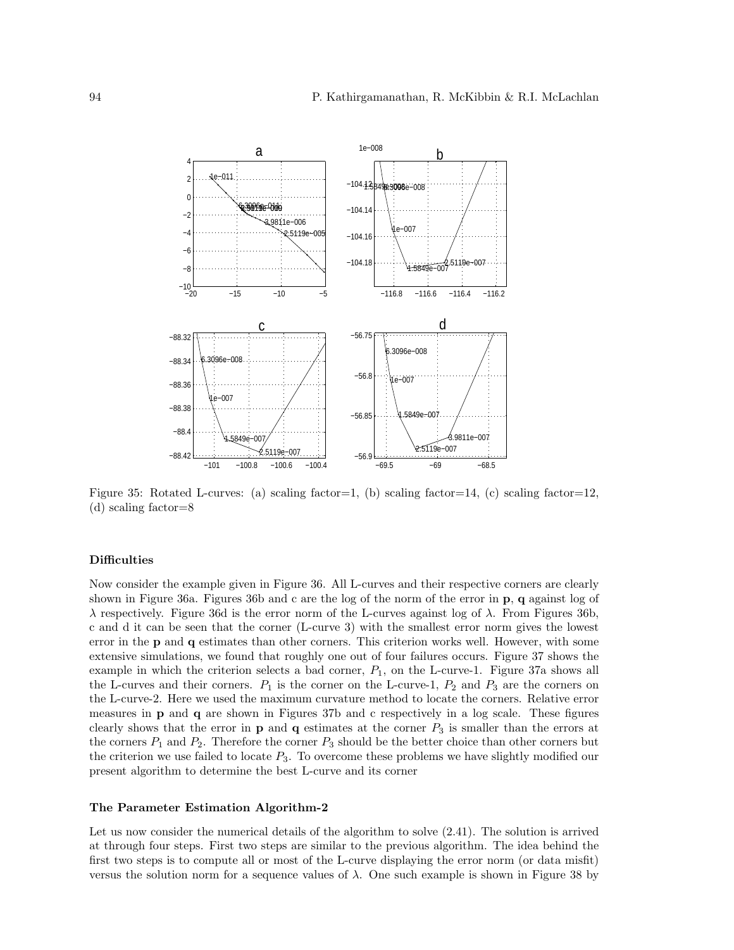

Figure 35: Rotated L-curves: (a) scaling factor=1, (b) scaling factor=14, (c) scaling factor=12, (d) scaling factor=8

#### **Difficulties**

Now consider the example given in Figure 36. All L-curves and their respective corners are clearly shown in Figure 36a. Figures 36b and c are the log of the norm of the error in p, q against log of λ respectively. Figure 36d is the error norm of the L-curves against log of λ. From Figures 36b, c and d it can be seen that the corner (L-curve 3) with the smallest error norm gives the lowest error in the p and q estimates than other corners. This criterion works well. However, with some extensive simulations, we found that roughly one out of four failures occurs. Figure 37 shows the example in which the criterion selects a bad corner,  $P_1$ , on the L-curve-1. Figure 37a shows all the L-curves and their corners.  $P_1$  is the corner on the L-curve-1,  $P_2$  and  $P_3$  are the corners on the L-curve-2. Here we used the maximum curvature method to locate the corners. Relative error measures in p and q are shown in Figures 37b and c respectively in a log scale. These figures clearly shows that the error in  $p$  and  $q$  estimates at the corner  $P_3$  is smaller than the errors at the corners  $P_1$  and  $P_2$ . Therefore the corner  $P_3$  should be the better choice than other corners but the criterion we use failed to locate  $P_3$ . To overcome these problems we have slightly modified our present algorithm to determine the best L-curve and its corner

#### The Parameter Estimation Algorithm-2

Let us now consider the numerical details of the algorithm to solve (2.41). The solution is arrived at through four steps. First two steps are similar to the previous algorithm. The idea behind the first two steps is to compute all or most of the L-curve displaying the error norm (or data misfit) versus the solution norm for a sequence values of  $\lambda$ . One such example is shown in Figure 38 by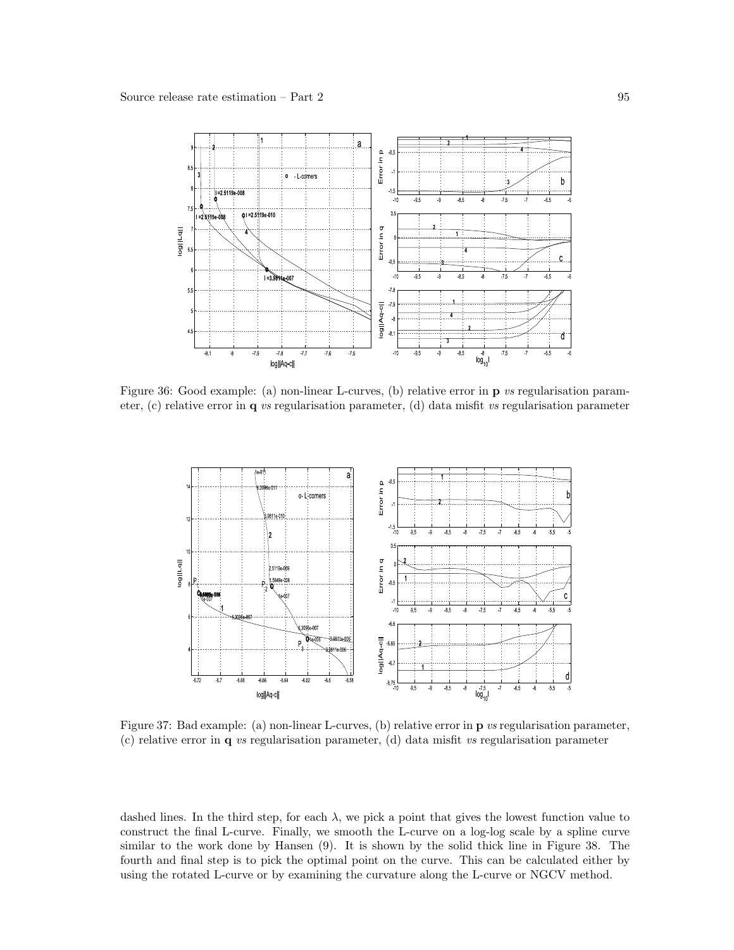

Figure 36: Good example: (a) non-linear L-curves, (b) relative error in p vs regularisation parameter, (c) relative error in q vs regularisation parameter, (d) data misfit vs regularisation parameter



Figure 37: Bad example: (a) non-linear L-curves, (b) relative error in p vs regularisation parameter, (c) relative error in q vs regularisation parameter, (d) data misfit vs regularisation parameter

dashed lines. In the third step, for each  $\lambda$ , we pick a point that gives the lowest function value to construct the final L-curve. Finally, we smooth the L-curve on a log-log scale by a spline curve similar to the work done by Hansen (9). It is shown by the solid thick line in Figure 38. The fourth and final step is to pick the optimal point on the curve. This can be calculated either by using the rotated L-curve or by examining the curvature along the L-curve or NGCV method.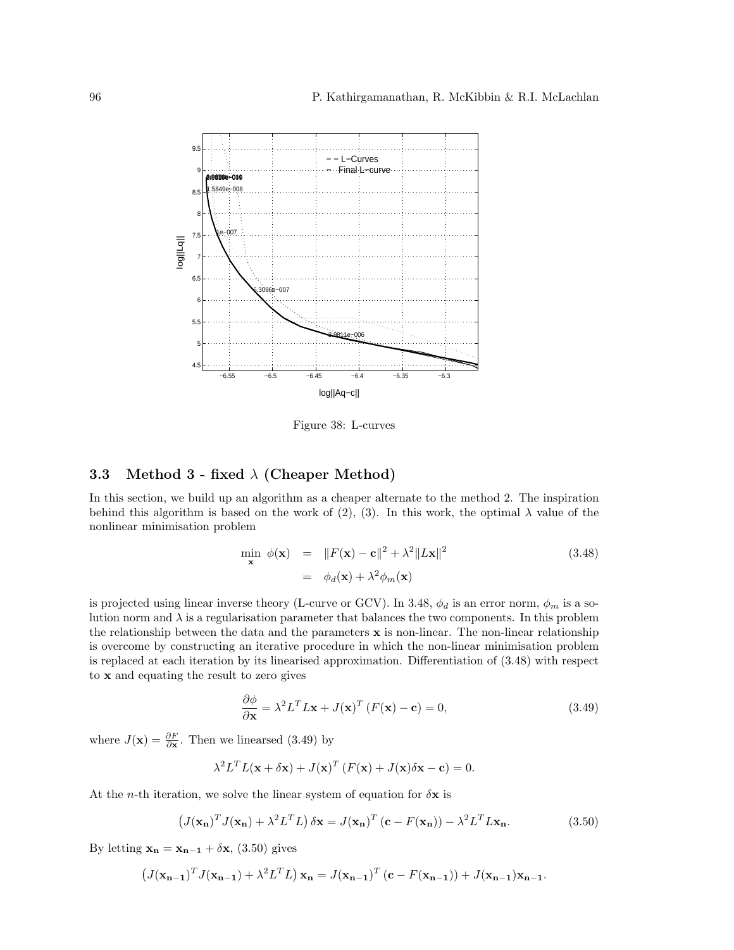

Figure 38: L-curves

## 3.3 Method 3 - fixed  $\lambda$  (Cheaper Method)

In this section, we build up an algorithm as a cheaper alternate to the method 2. The inspiration behind this algorithm is based on the work of (2), (3). In this work, the optimal  $\lambda$  value of the nonlinear minimisation problem

$$
\min_{\mathbf{x}} \phi(\mathbf{x}) = ||F(\mathbf{x}) - \mathbf{c}||^2 + \lambda^2 ||L\mathbf{x}||^2
$$
\n
$$
= \phi_d(\mathbf{x}) + \lambda^2 \phi_m(\mathbf{x})
$$
\n(3.48)

is projected using linear inverse theory (L-curve or GCV). In 3.48,  $\phi_d$  is an error norm,  $\phi_m$  is a solution norm and  $\lambda$  is a regularisation parameter that balances the two components. In this problem the relationship between the data and the parameters  $x$  is non-linear. The non-linear relationship is overcome by constructing an iterative procedure in which the non-linear minimisation problem is replaced at each iteration by its linearised approximation. Differentiation of (3.48) with respect to x and equating the result to zero gives

$$
\frac{\partial \phi}{\partial \mathbf{x}} = \lambda^2 L^T L \mathbf{x} + J(\mathbf{x})^T (F(\mathbf{x}) - \mathbf{c}) = 0,
$$
\n(3.49)

where  $J(\mathbf{x}) = \frac{\partial F}{\partial \mathbf{x}}$ . Then we linearsed (3.49) by

$$
\lambda^2 L^T L(\mathbf{x} + \delta \mathbf{x}) + J(\mathbf{x})^T (F(\mathbf{x}) + J(\mathbf{x}) \delta \mathbf{x} - \mathbf{c}) = 0.
$$

At the *n*-th iteration, we solve the linear system of equation for  $\delta x$  is

$$
\left(J(\mathbf{x_n})^T J(\mathbf{x_n}) + \lambda^2 L^T L\right) \delta \mathbf{x} = J(\mathbf{x_n})^T (\mathbf{c} - F(\mathbf{x_n})) - \lambda^2 L^T L \mathbf{x_n}.
$$
 (3.50)

By letting  $\mathbf{x_n} = \mathbf{x_{n-1}} + \delta \mathbf{x},$  (3.50) gives

$$
\left(J(\mathbf{x}_{n-1})^T J(\mathbf{x}_{n-1}) + \lambda^2 L^T L\right) \mathbf{x}_n = J(\mathbf{x}_{n-1})^T (\mathbf{c} - F(\mathbf{x}_{n-1})) + J(\mathbf{x}_{n-1}) \mathbf{x}_{n-1}.
$$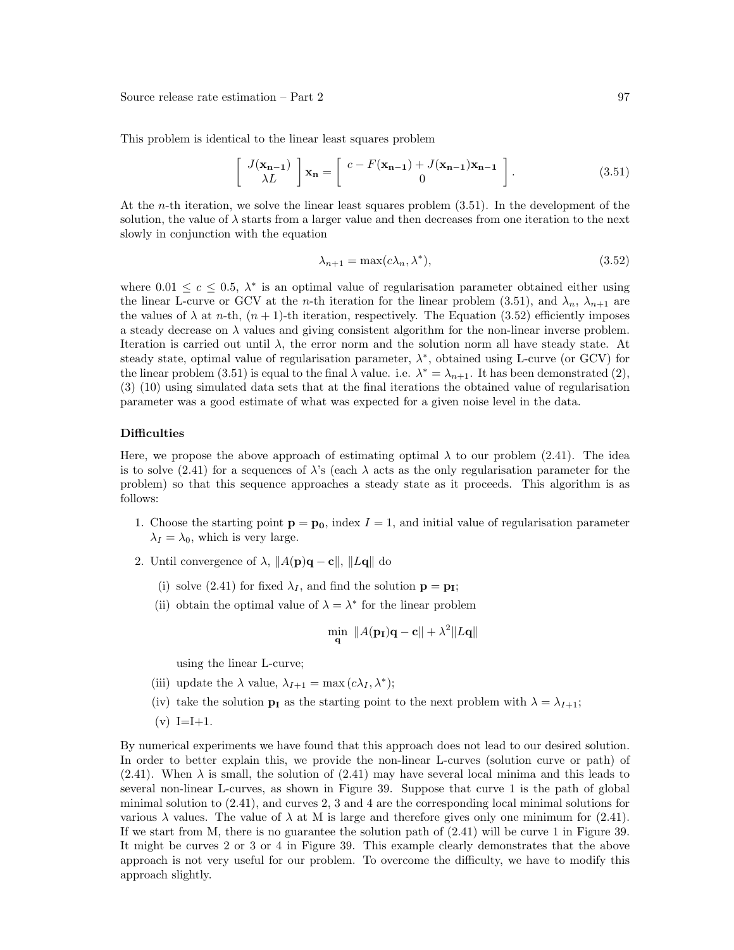This problem is identical to the linear least squares problem

$$
\begin{bmatrix} J(\mathbf{x}_{n-1}) \\ \lambda L \end{bmatrix} \mathbf{x}_n = \begin{bmatrix} c - F(\mathbf{x}_{n-1}) + J(\mathbf{x}_{n-1}) \mathbf{x}_{n-1} \\ 0 \end{bmatrix}.
$$
 (3.51)

At the *n*-th iteration, we solve the linear least squares problem  $(3.51)$ . In the development of the solution, the value of  $\lambda$  starts from a larger value and then decreases from one iteration to the next slowly in conjunction with the equation

$$
\lambda_{n+1} = \max(c\lambda_n, \lambda^*),\tag{3.52}
$$

where  $0.01 \leq c \leq 0.5$ ,  $\lambda^*$  is an optimal value of regularisation parameter obtained either using the linear L-curve or GCV at the *n*-th iteration for the linear problem (3.51), and  $\lambda_n$ ,  $\lambda_{n+1}$  are the values of  $\lambda$  at n-th,  $(n + 1)$ -th iteration, respectively. The Equation (3.52) efficiently imposes a steady decrease on  $\lambda$  values and giving consistent algorithm for the non-linear inverse problem. Iteration is carried out until  $\lambda$ , the error norm and the solution norm all have steady state. At steady state, optimal value of regularisation parameter,  $\lambda^*$ , obtained using L-curve (or GCV) for the linear problem (3.51) is equal to the final  $\lambda$  value. i.e.  $\lambda^* = \lambda_{n+1}$ . It has been demonstrated (2), (3) (10) using simulated data sets that at the final iterations the obtained value of regularisation parameter was a good estimate of what was expected for a given noise level in the data.

#### **Difficulties**

Here, we propose the above approach of estimating optimal  $\lambda$  to our problem (2.41). The idea is to solve (2.41) for a sequences of  $\lambda$ 's (each  $\lambda$  acts as the only regularisation parameter for the problem) so that this sequence approaches a steady state as it proceeds. This algorithm is as follows:

- 1. Choose the starting point  $\mathbf{p} = \mathbf{p_0}$ , index  $I = 1$ , and initial value of regularisation parameter  $\lambda_I = \lambda_0$ , which is very large.
- 2. Until convergence of  $\lambda$ ,  $||A(\mathbf{p})\mathbf{q} \mathbf{c}||$ ,  $||L\mathbf{q}||$  do
	- (i) solve (2.41) for fixed  $\lambda_I$ , and find the solution  $\mathbf{p} = \mathbf{p_I}$ ;
	- (ii) obtain the optimal value of  $\lambda = \lambda^*$  for the linear problem

$$
\min_{\mathbf{q}} \|A(\mathbf{p_I})\mathbf{q} - \mathbf{c}\| + \lambda^2 \|L\mathbf{q}\|
$$

using the linear L-curve;

- (iii) update the  $\lambda$  value,  $\lambda_{I+1} = \max(c\lambda_I, \lambda^*)$ ;
- (iv) take the solution  $\mathbf{p}_I$  as the starting point to the next problem with  $\lambda = \lambda_{I+1}$ ;
- $(v) I=I+1.$

By numerical experiments we have found that this approach does not lead to our desired solution. In order to better explain this, we provide the non-linear L-curves (solution curve or path) of  $(2.41)$ . When  $\lambda$  is small, the solution of  $(2.41)$  may have several local minima and this leads to several non-linear L-curves, as shown in Figure 39. Suppose that curve 1 is the path of global minimal solution to (2.41), and curves 2, 3 and 4 are the corresponding local minimal solutions for various  $\lambda$  values. The value of  $\lambda$  at M is large and therefore gives only one minimum for (2.41). If we start from M, there is no guarantee the solution path of (2.41) will be curve 1 in Figure 39. It might be curves 2 or 3 or 4 in Figure 39. This example clearly demonstrates that the above approach is not very useful for our problem. To overcome the difficulty, we have to modify this approach slightly.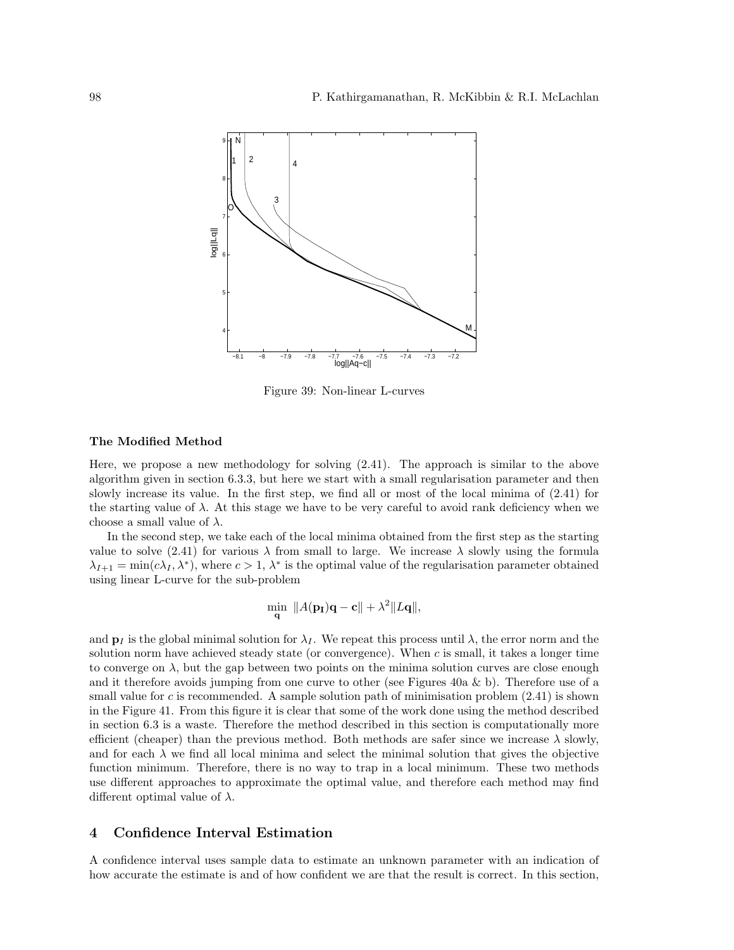

Figure 39: Non-linear L-curves

#### The Modified Method

Here, we propose a new methodology for solving (2.41). The approach is similar to the above algorithm given in section 6.3.3, but here we start with a small regularisation parameter and then slowly increase its value. In the first step, we find all or most of the local minima of (2.41) for the starting value of  $\lambda$ . At this stage we have to be very careful to avoid rank deficiency when we choose a small value of  $\lambda$ .

In the second step, we take each of the local minima obtained from the first step as the starting value to solve (2.41) for various  $\lambda$  from small to large. We increase  $\lambda$  slowly using the formula  $\lambda_{I+1} = \min(c\lambda_I, \lambda^*)$ , where  $c > 1$ ,  $\lambda^*$  is the optimal value of the regularisation parameter obtained using linear L-curve for the sub-problem

$$
\min_{\mathbf{q}} \|A(\mathbf{p_I})\mathbf{q} - \mathbf{c}\| + \lambda^2 \|L\mathbf{q}\|,
$$

and  $\mathbf{p}_I$  is the global minimal solution for  $\lambda_I$ . We repeat this process until  $\lambda$ , the error norm and the solution norm have achieved steady state (or convergence). When c is small, it takes a longer time to converge on  $\lambda$ , but the gap between two points on the minima solution curves are close enough and it therefore avoids jumping from one curve to other (see Figures 40a & b). Therefore use of a small value for c is recommended. A sample solution path of minimisation problem  $(2.41)$  is shown in the Figure 41. From this figure it is clear that some of the work done using the method described in section 6.3 is a waste. Therefore the method described in this section is computationally more efficient (cheaper) than the previous method. Both methods are safer since we increase  $\lambda$  slowly, and for each  $\lambda$  we find all local minima and select the minimal solution that gives the objective function minimum. Therefore, there is no way to trap in a local minimum. These two methods use different approaches to approximate the optimal value, and therefore each method may find different optimal value of  $\lambda$ .

## 4 Confidence Interval Estimation

A confidence interval uses sample data to estimate an unknown parameter with an indication of how accurate the estimate is and of how confident we are that the result is correct. In this section,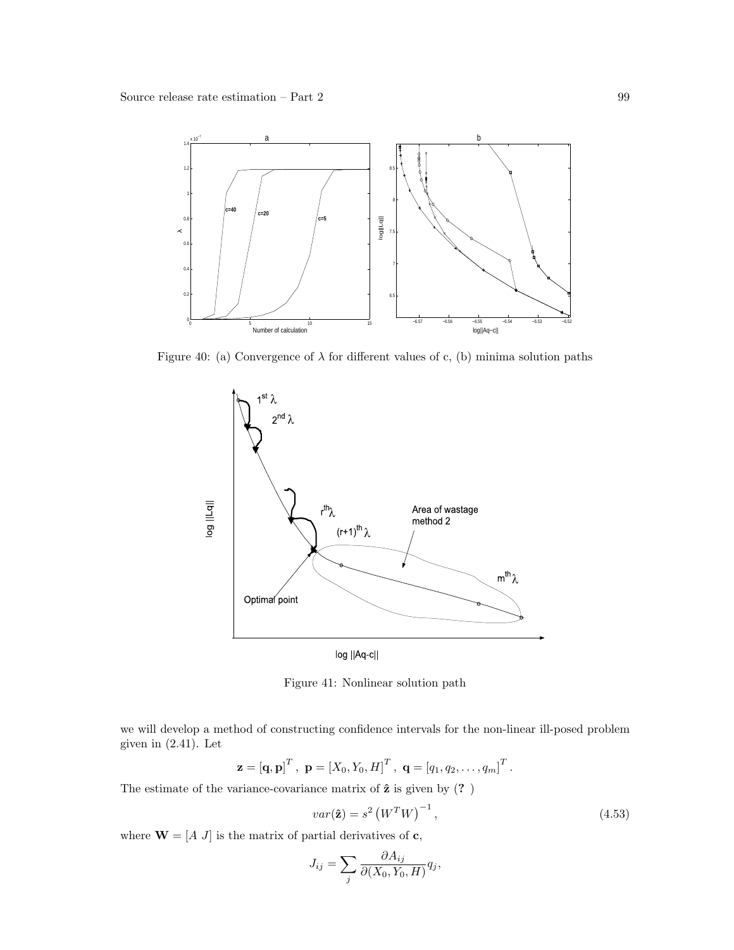

Figure 40: (a) Convergence of  $\lambda$  for different values of c, (b) minima solution paths



Figure 41: Nonlinear solution path

we will develop a method of constructing confidence intervals for the non-linear ill-posed problem given in  $(2.41)$ . Let

$$
\mathbf{z} = [\mathbf{q}, \mathbf{p}]^T, \ \mathbf{p} = [X_0, Y_0, H]^T, \ \mathbf{q} = [q_1, q_2, \dots, q_m]^T.
$$

The estimate of the variance-covariance matrix of  $\hat{z}$  is given by  $(?)$ 

$$
var(\hat{\mathbf{z}}) = s^2 \left( W^T W \right)^{-1}, \tag{4.53}
$$

where  $\mathbf{W} = [A \; J]$  is the matrix of partial derivatives of  $\mathbf{c}$ ,

$$
J_{ij} = \sum_{j} \frac{\partial A_{ij}}{\partial (X_0, Y_0, H)} q_j,
$$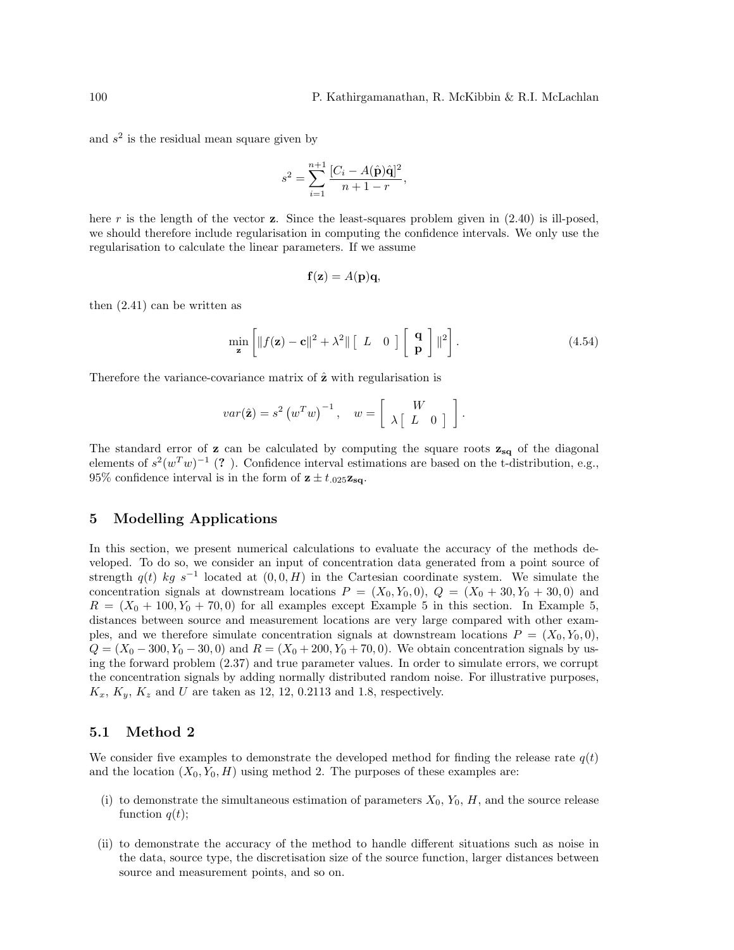and  $s<sup>2</sup>$  is the residual mean square given by

$$
s^{2} = \sum_{i=1}^{n+1} \frac{[C_{i} - A(\hat{\mathbf{p}})\hat{\mathbf{q}}]^{2}}{n+1-r},
$$

here r is the length of the vector z. Since the least-squares problem given in  $(2.40)$  is ill-posed, we should therefore include regularisation in computing the confidence intervals. We only use the regularisation to calculate the linear parameters. If we assume

$$
\mathbf{f}(\mathbf{z}) = A(\mathbf{p})\mathbf{q},
$$

then (2.41) can be written as

$$
\min_{\mathbf{z}} \left[ \|f(\mathbf{z}) - \mathbf{c}\|^2 + \lambda^2 \| \left[ L \quad 0 \right] \left[ \begin{array}{c} \mathbf{q} \\ \mathbf{p} \end{array} \right] \|^2 \right]. \tag{4.54}
$$

Therefore the variance-covariance matrix of  $\hat{z}$  with regularisation is

$$
var(\hat{\mathbf{z}}) = s^2 \left(w^T w\right)^{-1}, \quad w = \left[\begin{array}{cc} W \\ \lambda \left[\begin{array}{cc} L & 0 \end{array}\right] \end{array}\right].
$$

The standard error of  $z$  can be calculated by computing the square roots  $z_{sq}$  of the diagonal elements of  $s^2(w^Tw)^{-1}$  (?). Confidence interval estimations are based on the t-distribution, e.g., 95% confidence interval is in the form of  $z \pm t_{.025}z_{sa}$ .

## 5 Modelling Applications

In this section, we present numerical calculations to evaluate the accuracy of the methods developed. To do so, we consider an input of concentration data generated from a point source of strength  $q(t)$  kg s<sup>-1</sup> located at  $(0,0,H)$  in the Cartesian coordinate system. We simulate the concentration signals at downstream locations  $P = (X_0, Y_0, 0), Q = (X_0 + 30, Y_0 + 30, 0)$  and  $R = (X_0 + 100, Y_0 + 70, 0)$  for all examples except Example 5 in this section. In Example 5, distances between source and measurement locations are very large compared with other examples, and we therefore simulate concentration signals at downstream locations  $P = (X_0, Y_0, 0)$ ,  $Q = (X_0 - 300, Y_0 - 30, 0)$  and  $R = (X_0 + 200, Y_0 + 70, 0)$ . We obtain concentration signals by using the forward problem (2.37) and true parameter values. In order to simulate errors, we corrupt the concentration signals by adding normally distributed random noise. For illustrative purposes,  $K_x, K_y, K_z$  and U are taken as 12, 12, 0.2113 and 1.8, respectively.

## 5.1 Method 2

We consider five examples to demonstrate the developed method for finding the release rate  $q(t)$ and the location  $(X_0, Y_0, H)$  using method 2. The purposes of these examples are:

- (i) to demonstrate the simultaneous estimation of parameters  $X_0$ ,  $Y_0$ ,  $H$ , and the source release function  $q(t)$ ;
- (ii) to demonstrate the accuracy of the method to handle different situations such as noise in the data, source type, the discretisation size of the source function, larger distances between source and measurement points, and so on.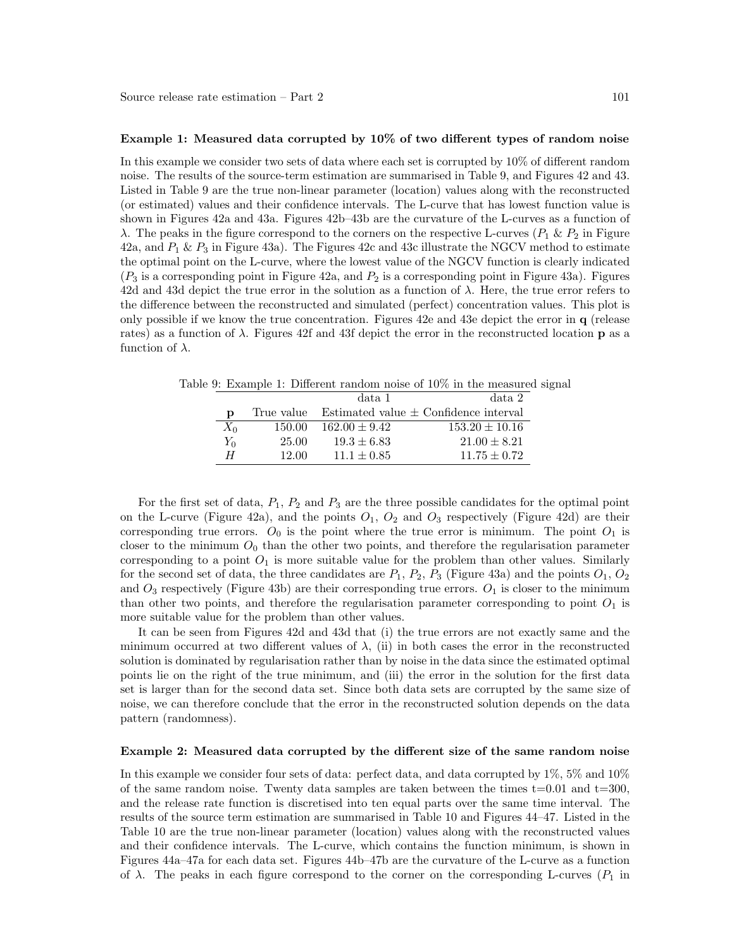#### Example 1: Measured data corrupted by 10% of two different types of random noise

In this example we consider two sets of data where each set is corrupted by 10% of different random noise. The results of the source-term estimation are summarised in Table 9, and Figures 42 and 43. Listed in Table 9 are the true non-linear parameter (location) values along with the reconstructed (or estimated) values and their confidence intervals. The L-curve that has lowest function value is shown in Figures 42a and 43a. Figures 42b–43b are the curvature of the L-curves as a function of λ. The peaks in the figure correspond to the corners on the respective L-curves ( $P_1$  &  $P_2$  in Figure 42a, and  $P_1 \& P_3$  in Figure 43a). The Figures 42c and 43c illustrate the NGCV method to estimate the optimal point on the L-curve, where the lowest value of the NGCV function is clearly indicated  $(P_3$  is a corresponding point in Figure 42a, and  $P_2$  is a corresponding point in Figure 43a). Figures 42d and 43d depict the true error in the solution as a function of  $\lambda$ . Here, the true error refers to the difference between the reconstructed and simulated (perfect) concentration values. This plot is only possible if we know the true concentration. Figures 42e and 43e depict the error in q (release rates) as a function of  $\lambda$ . Figures 42f and 43f depict the error in the reconstructed location **p** as a function of  $\lambda$ .

|       |            | data 1            | data 2                                    |
|-------|------------|-------------------|-------------------------------------------|
| D     | True value |                   | Estimated value $\pm$ Confidence interval |
| $X_0$ | 150.00     | $162.00 \pm 9.42$ | $153.20 \pm 10.16$                        |
| $Y_0$ | 25.00      | $19.3 \pm 6.83$   | $21.00 \pm 8.21$                          |
| H     | 12.00      | $11.1 \pm 0.85$   | $11.75 \pm 0.72$                          |

Table 9: Example 1: Different random noise of 10% in the measured signal

For the first set of data,  $P_1$ ,  $P_2$  and  $P_3$  are the three possible candidates for the optimal point on the L-curve (Figure 42a), and the points  $O_1$ ,  $O_2$  and  $O_3$  respectively (Figure 42d) are their corresponding true errors.  $O_0$  is the point where the true error is minimum. The point  $O_1$  is closer to the minimum  $O_0$  than the other two points, and therefore the regularisation parameter corresponding to a point  $O_1$  is more suitable value for the problem than other values. Similarly for the second set of data, the three candidates are  $P_1$ ,  $P_2$ ,  $P_3$  (Figure 43a) and the points  $O_1$ ,  $O_2$ and  $O_3$  respectively (Figure 43b) are their corresponding true errors.  $O_1$  is closer to the minimum than other two points, and therefore the regularisation parameter corresponding to point  $O_1$  is more suitable value for the problem than other values.

It can be seen from Figures 42d and 43d that (i) the true errors are not exactly same and the minimum occurred at two different values of  $\lambda$ , (ii) in both cases the error in the reconstructed solution is dominated by regularisation rather than by noise in the data since the estimated optimal points lie on the right of the true minimum, and (iii) the error in the solution for the first data set is larger than for the second data set. Since both data sets are corrupted by the same size of noise, we can therefore conclude that the error in the reconstructed solution depends on the data pattern (randomness).

#### Example 2: Measured data corrupted by the different size of the same random noise

In this example we consider four sets of data: perfect data, and data corrupted by 1%, 5% and 10% of the same random noise. Twenty data samples are taken between the times  $t=0.01$  and  $t=300$ , and the release rate function is discretised into ten equal parts over the same time interval. The results of the source term estimation are summarised in Table 10 and Figures 44–47. Listed in the Table 10 are the true non-linear parameter (location) values along with the reconstructed values and their confidence intervals. The L-curve, which contains the function minimum, is shown in Figures 44a–47a for each data set. Figures 44b–47b are the curvature of the L-curve as a function of  $\lambda$ . The peaks in each figure correspond to the corner on the corresponding L-curves ( $P_1$  in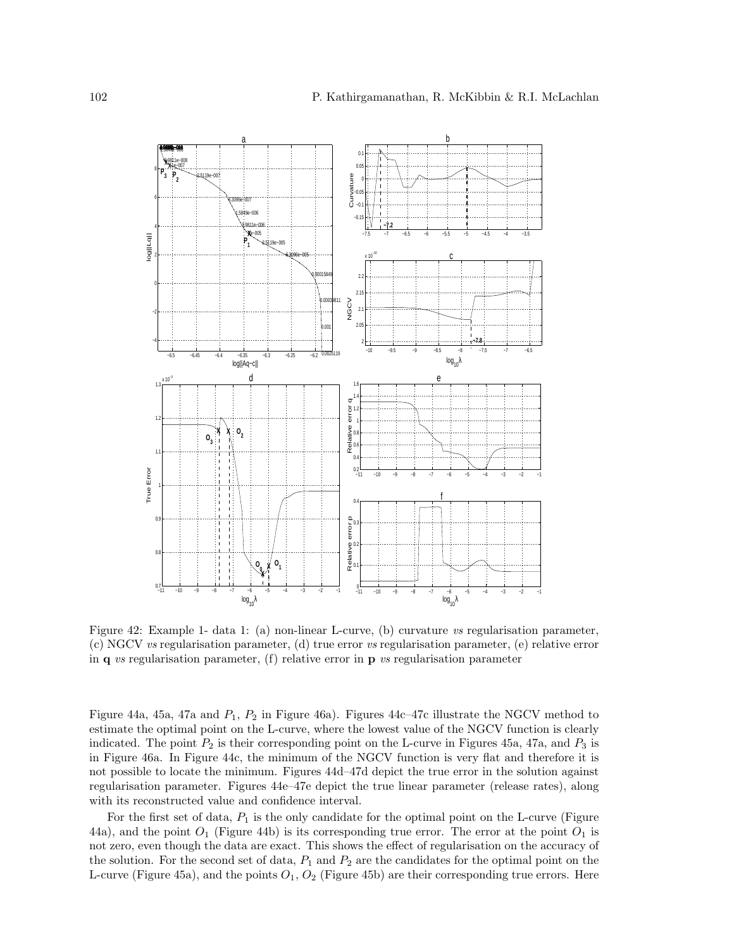

Figure 42: Example 1- data 1: (a) non-linear L-curve, (b) curvature vs regularisation parameter, (c) NGCV vs regularisation parameter, (d) true error vs regularisation parameter, (e) relative error in  $q$  vs regularisation parameter, (f) relative error in  $p$  vs regularisation parameter

Figure 44a, 45a, 47a and  $P_1$ ,  $P_2$  in Figure 46a). Figures 44c–47c illustrate the NGCV method to estimate the optimal point on the L-curve, where the lowest value of the NGCV function is clearly indicated. The point  $P_2$  is their corresponding point on the L-curve in Figures 45a, 47a, and  $P_3$  is in Figure 46a. In Figure 44c, the minimum of the NGCV function is very flat and therefore it is not possible to locate the minimum. Figures 44d–47d depict the true error in the solution against regularisation parameter. Figures 44e–47e depict the true linear parameter (release rates), along with its reconstructed value and confidence interval.

For the first set of data,  $P_1$  is the only candidate for the optimal point on the L-curve (Figure 44a), and the point  $O_1$  (Figure 44b) is its corresponding true error. The error at the point  $O_1$  is not zero, even though the data are exact. This shows the effect of regularisation on the accuracy of the solution. For the second set of data,  $P_1$  and  $P_2$  are the candidates for the optimal point on the L-curve (Figure 45a), and the points  $O_1$ ,  $O_2$  (Figure 45b) are their corresponding true errors. Here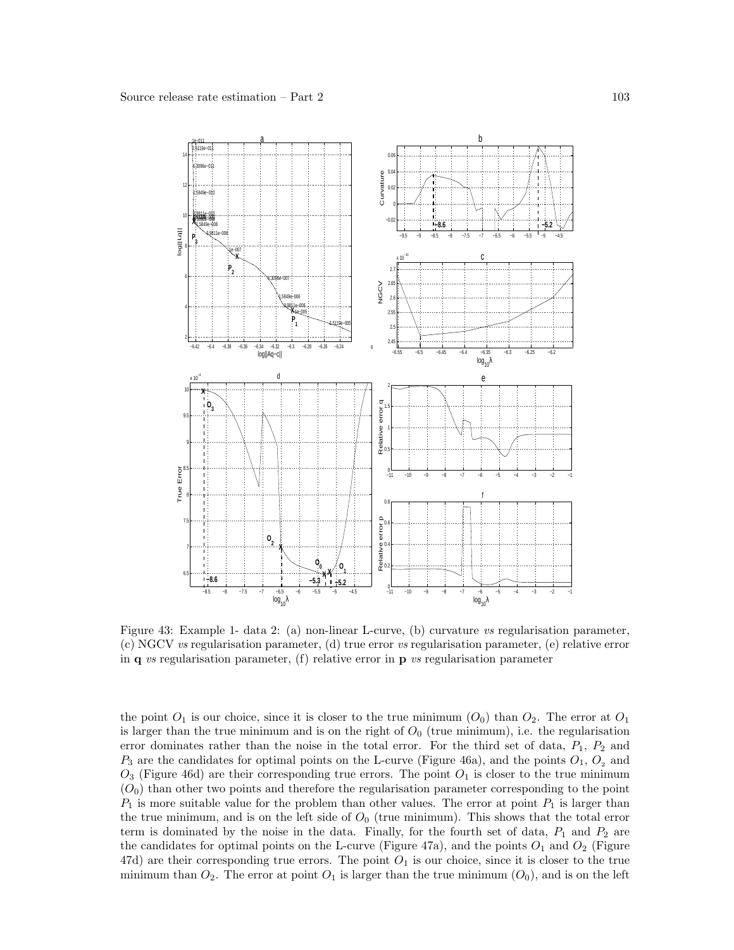

Figure 43: Example 1- data 2: (a) non-linear L-curve, (b) curvature vs regularisation parameter, (c) NGCV vs regularisation parameter, (d) true error vs regularisation parameter, (e) relative error in  $\bf{q}$  vs regularisation parameter, (f) relative error in  $\bf{p}$  vs regularisation parameter

the point  $O_1$  is our choice, since it is closer to the true minimum  $(O_0)$  than  $O_2$ . The error at  $O_1$ is larger than the true minimum and is on the right of  $O<sub>0</sub>$  (true minimum), i.e. the regularisation error dominates rather than the noise in the total error. For the third set of data,  $P_1$ ,  $P_2$  and  $P_3$  are the candidates for optimal points on the L-curve (Figure 46a), and the points  $O_1$ ,  $O_2$  and  $O_3$  (Figure 46d) are their corresponding true errors. The point  $O_1$  is closer to the true minimum  $(O<sub>0</sub>)$  than other two points and therefore the regularisation parameter corresponding to the point  $P_1$  is more suitable value for the problem than other values. The error at point  $P_1$  is larger than the true minimum, and is on the left side of  $O<sub>0</sub>$  (true minimum). This shows that the total error term is dominated by the noise in the data. Finally, for the fourth set of data,  $P_1$  and  $P_2$  are the candidates for optimal points on the L-curve (Figure 47a), and the points  $O_1$  and  $O_2$  (Figure 47d) are their corresponding true errors. The point  $O_1$  is our choice, since it is closer to the true minimum than  $O_2$ . The error at point  $O_1$  is larger than the true minimum  $(O_0)$ , and is on the left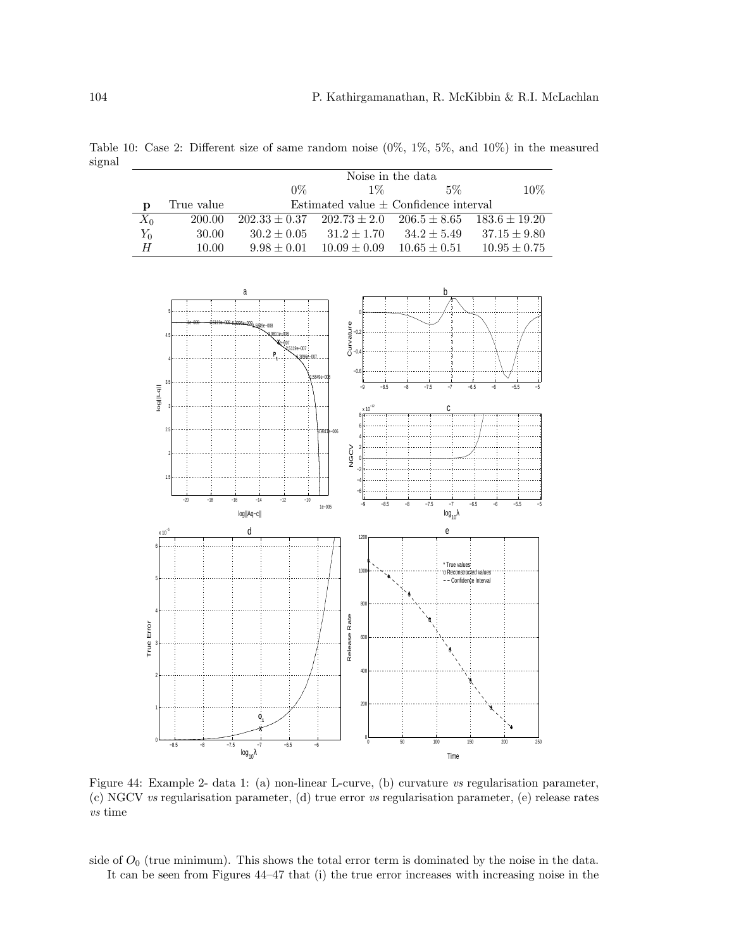Table 10: Case 2: Different size of same random noise (0%, 1%, 5%, and 10%) in the measured signal

|       |            | Noise in the data                         |                  |                  |                                    |
|-------|------------|-------------------------------------------|------------------|------------------|------------------------------------|
|       |            | $0\%$                                     | $1\%$            | $5\%$            | $10\%$                             |
|       | True value | Estimated value $\pm$ Confidence interval |                  |                  |                                    |
| $X_0$ | 200.00     | $202.33 \pm 0.37$ $202.73 \pm 2.0$        |                  |                  | $206.5 \pm 8.65$ $183.6 \pm 19.20$ |
| $Y_0$ | 30.00      | $30.2 \pm 0.05$                           | $31.2 \pm 1.70$  | $34.2 \pm 5.49$  | $37.15 \pm 9.80$                   |
| H     | 10.00      | $9.98 \pm 0.01$                           | $10.09 \pm 0.09$ | $10.65 \pm 0.51$ | $10.95 \pm 0.75$                   |



Figure 44: Example 2- data 1: (a) non-linear L-curve, (b) curvature vs regularisation parameter, (c) NGCV vs regularisation parameter, (d) true error vs regularisation parameter, (e) release rates vs time

side of  $O_0$  (true minimum). This shows the total error term is dominated by the noise in the data. It can be seen from Figures 44–47 that (i) the true error increases with increasing noise in the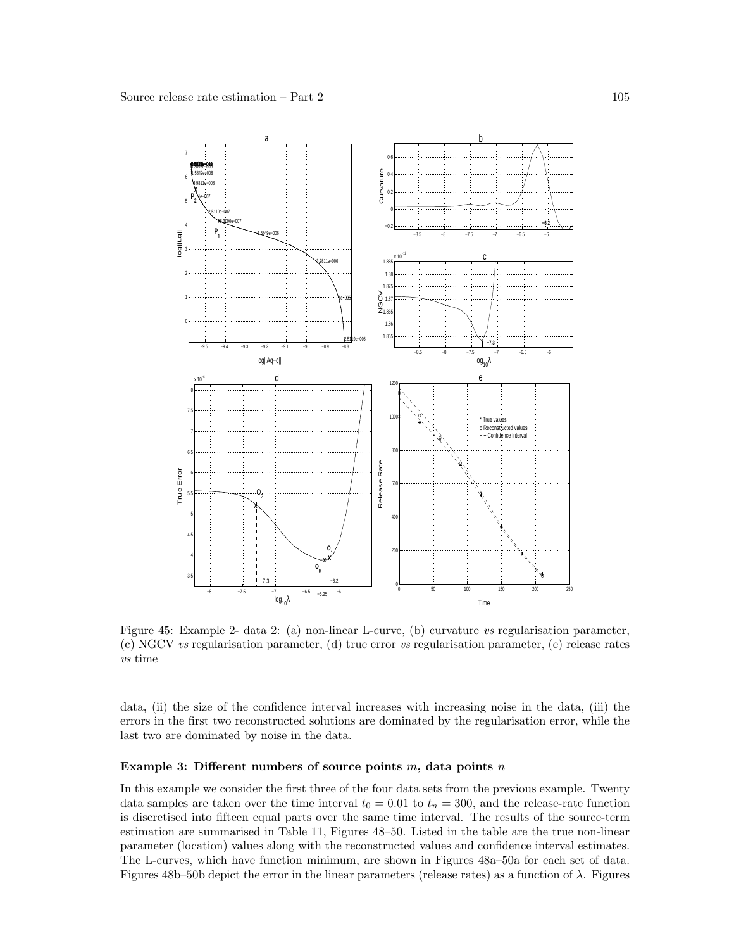

Figure 45: Example 2- data 2: (a) non-linear L-curve, (b) curvature vs regularisation parameter, (c) NGCV vs regularisation parameter, (d) true error vs regularisation parameter, (e) release rates vs time

data, (ii) the size of the confidence interval increases with increasing noise in the data, (iii) the errors in the first two reconstructed solutions are dominated by the regularisation error, while the last two are dominated by noise in the data.

#### Example 3: Different numbers of source points  $m$ , data points  $n$

In this example we consider the first three of the four data sets from the previous example. Twenty data samples are taken over the time interval  $t_0 = 0.01$  to  $t_n = 300$ , and the release-rate function is discretised into fifteen equal parts over the same time interval. The results of the source-term estimation are summarised in Table 11, Figures 48–50. Listed in the table are the true non-linear parameter (location) values along with the reconstructed values and confidence interval estimates. The L-curves, which have function minimum, are shown in Figures 48a–50a for each set of data. Figures 48b–50b depict the error in the linear parameters (release rates) as a function of  $\lambda$ . Figures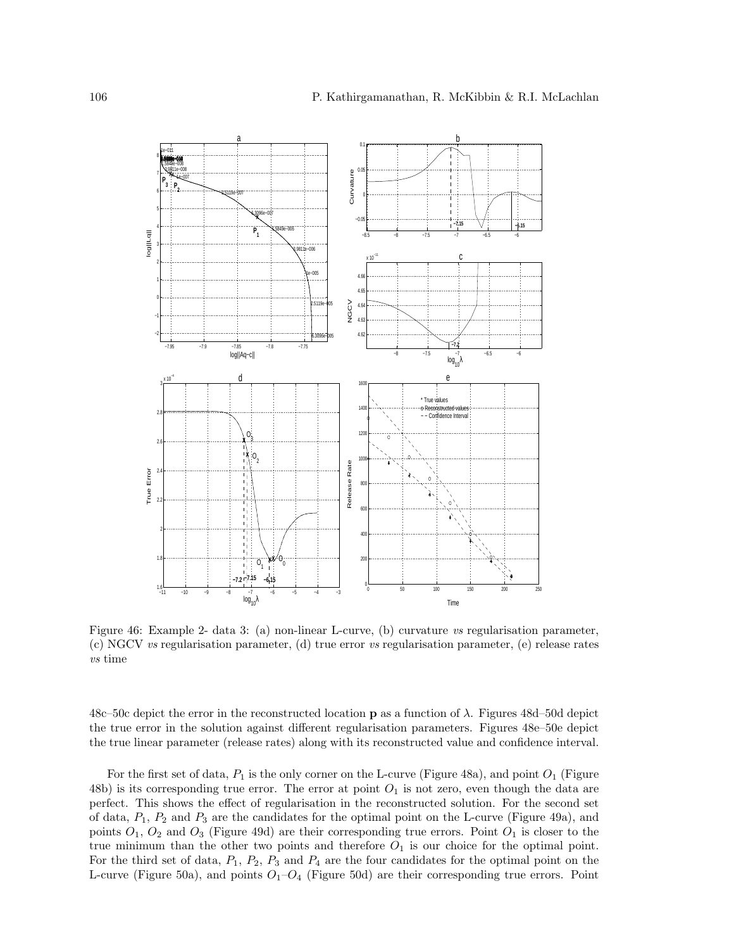

Figure 46: Example 2- data 3: (a) non-linear L-curve, (b) curvature vs regularisation parameter, (c) NGCV vs regularisation parameter, (d) true error vs regularisation parameter, (e) release rates vs time

48c–50c depict the error in the reconstructed location **p** as a function of  $\lambda$ . Figures 48d–50d depict the true error in the solution against different regularisation parameters. Figures 48e–50e depict the true linear parameter (release rates) along with its reconstructed value and confidence interval.

For the first set of data,  $P_1$  is the only corner on the L-curve (Figure 48a), and point  $O_1$  (Figure 48b) is its corresponding true error. The error at point  $O_1$  is not zero, even though the data are perfect. This shows the effect of regularisation in the reconstructed solution. For the second set of data,  $P_1$ ,  $P_2$  and  $P_3$  are the candidates for the optimal point on the L-curve (Figure 49a), and points  $O_1$ ,  $O_2$  and  $O_3$  (Figure 49d) are their corresponding true errors. Point  $O_1$  is closer to the true minimum than the other two points and therefore  $O_1$  is our choice for the optimal point. For the third set of data,  $P_1$ ,  $P_2$ ,  $P_3$  and  $P_4$  are the four candidates for the optimal point on the L-curve (Figure 50a), and points  $O_1-O_4$  (Figure 50d) are their corresponding true errors. Point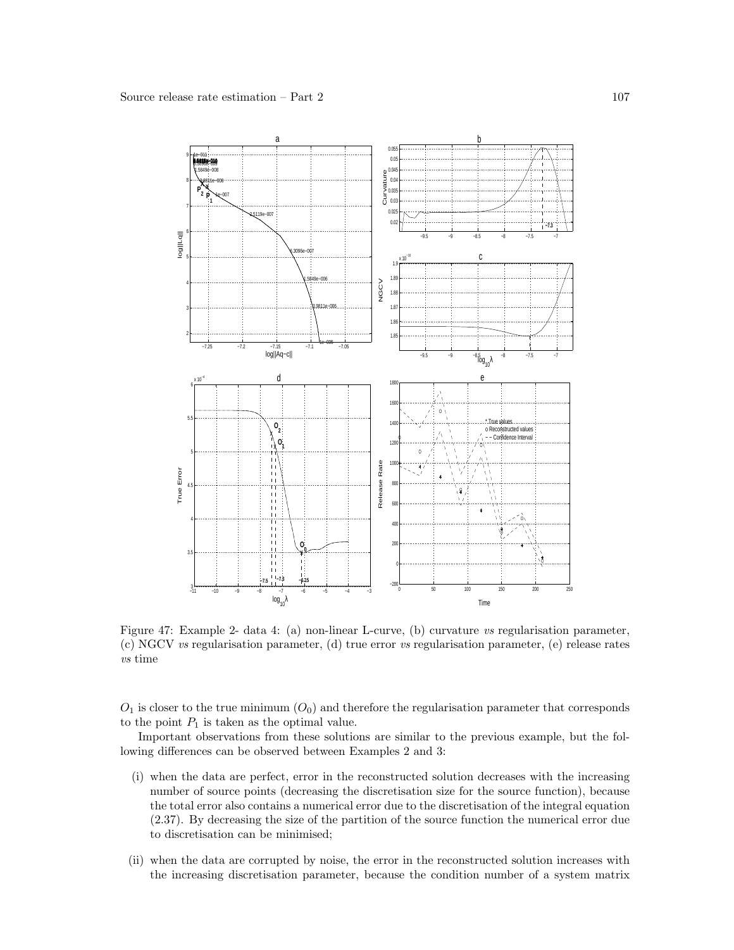

Figure 47: Example 2- data 4: (a) non-linear L-curve, (b) curvature vs regularisation parameter, (c) NGCV vs regularisation parameter, (d) true error vs regularisation parameter, (e) release rates vs time

 $O_1$  is closer to the true minimum  $(O_0)$  and therefore the regularisation parameter that corresponds to the point  $P_1$  is taken as the optimal value.

Important observations from these solutions are similar to the previous example, but the following differences can be observed between Examples 2 and 3:

- (i) when the data are perfect, error in the reconstructed solution decreases with the increasing number of source points (decreasing the discretisation size for the source function), because the total error also contains a numerical error due to the discretisation of the integral equation (2.37). By decreasing the size of the partition of the source function the numerical error due to discretisation can be minimised;
- (ii) when the data are corrupted by noise, the error in the reconstructed solution increases with the increasing discretisation parameter, because the condition number of a system matrix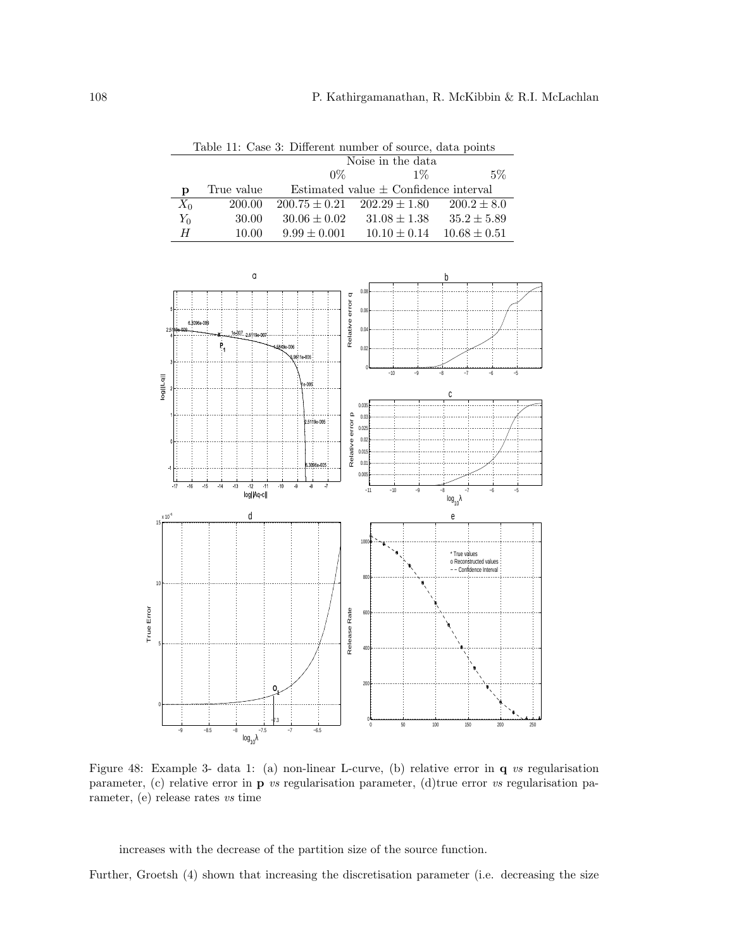Table 11: Case 3: Different number of source, data points

|       |            | Noise in the data |                                           |                  |  |
|-------|------------|-------------------|-------------------------------------------|------------------|--|
|       |            | $0\%$             | $1\%$                                     | $5\%$            |  |
|       | True value |                   | Estimated value $\pm$ Confidence interval |                  |  |
| $X_0$ | 200.00     |                   | $200.75 \pm 0.21$ $202.29 \pm 1.80$       | $200.2 \pm 8.0$  |  |
| $Y_0$ | 30.00      | $30.06 \pm 0.02$  | $31.08 \pm 1.38$                          | $35.2 \pm 5.89$  |  |
| H     | 10.00      | $9.99 \pm 0.001$  | $10.10 \pm 0.14$                          | $10.68 \pm 0.51$ |  |



Figure 48: Example 3- data 1: (a) non-linear L-curve, (b) relative error in q vs regularisation parameter, (c) relative error in  $\bf{p}$  vs regularisation parameter, (d)true error vs regularisation parameter, (e) release rates vs time

increases with the decrease of the partition size of the source function.

Further, Groetsh (4) shown that increasing the discretisation parameter (i.e. decreasing the size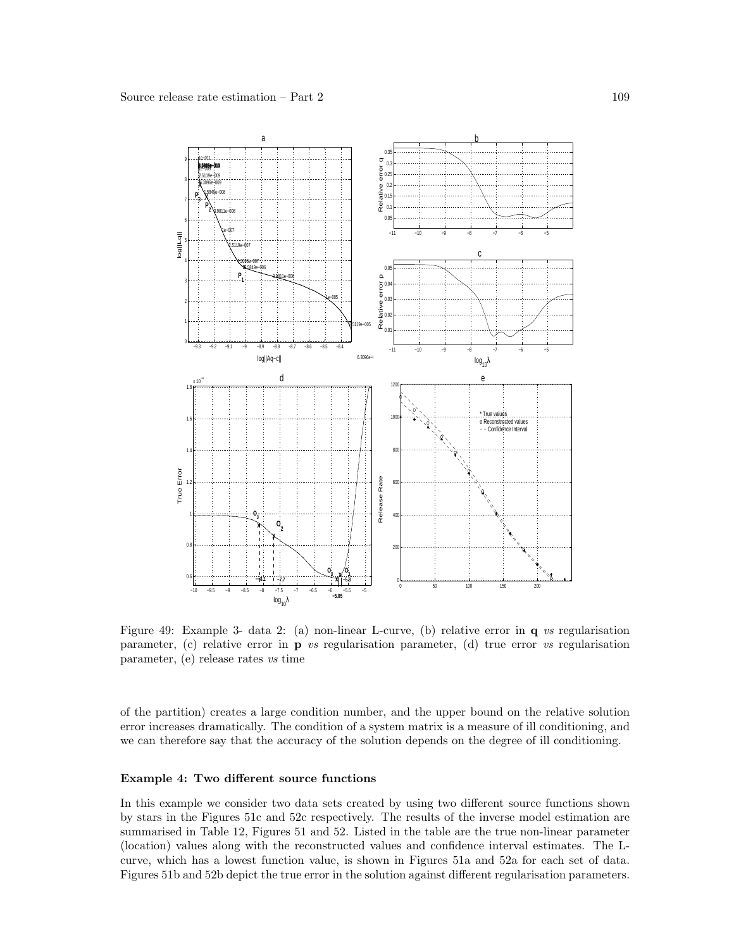

Figure 49: Example 3- data 2: (a) non-linear L-curve, (b) relative error in q vs regularisation parameter, (c) relative error in  $\bf{p}$  vs regularisation parameter, (d) true error vs regularisation parameter, (e) release rates vs time

of the partition) creates a large condition number, and the upper bound on the relative solution error increases dramatically. The condition of a system matrix is a measure of ill conditioning, and we can therefore say that the accuracy of the solution depends on the degree of ill conditioning.

#### Example 4: Two different source functions

In this example we consider two data sets created by using two different source functions shown by stars in the Figures 51c and 52c respectively. The results of the inverse model estimation are summarised in Table 12, Figures 51 and 52. Listed in the table are the true non-linear parameter (location) values along with the reconstructed values and confidence interval estimates. The Lcurve, which has a lowest function value, is shown in Figures 51a and 52a for each set of data. Figures 51b and 52b depict the true error in the solution against different regularisation parameters.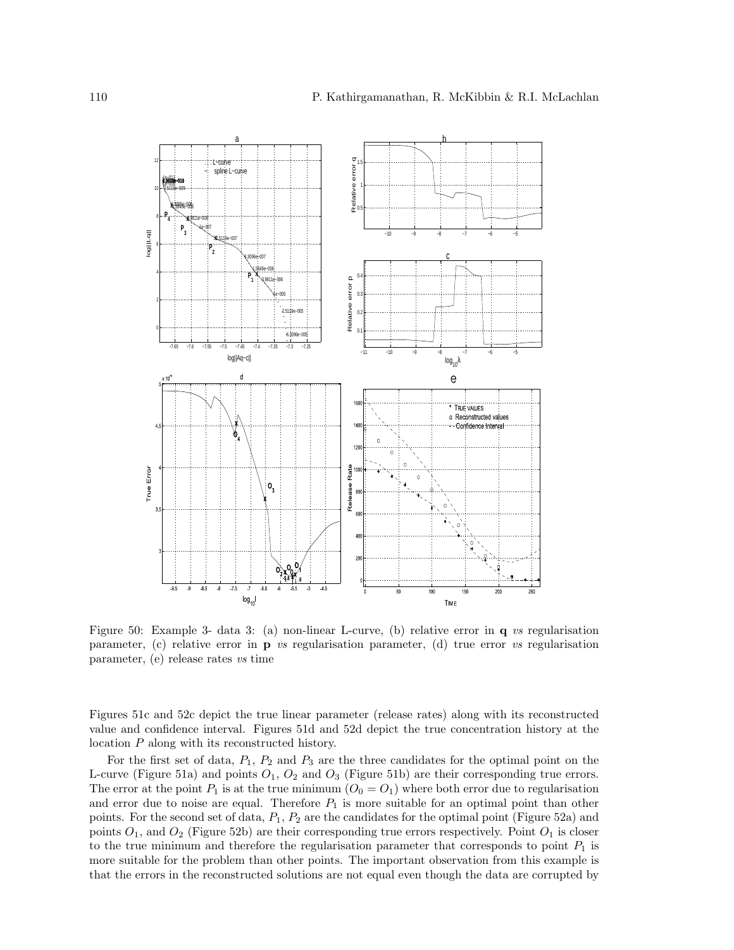

Figure 50: Example 3- data 3: (a) non-linear L-curve, (b) relative error in q vs regularisation parameter, (c) relative error in **p** vs regularisation parameter, (d) true error vs regularisation parameter, (e) release rates vs time

Figures 51c and 52c depict the true linear parameter (release rates) along with its reconstructed value and confidence interval. Figures 51d and 52d depict the true concentration history at the location P along with its reconstructed history.

For the first set of data,  $P_1$ ,  $P_2$  and  $P_3$  are the three candidates for the optimal point on the L-curve (Figure 51a) and points  $O_1$ ,  $O_2$  and  $O_3$  (Figure 51b) are their corresponding true errors. The error at the point  $P_1$  is at the true minimum  $(O_0 = O_1)$  where both error due to regularisation and error due to noise are equal. Therefore  $P_1$  is more suitable for an optimal point than other points. For the second set of data,  $P_1$ ,  $P_2$  are the candidates for the optimal point (Figure 52a) and points  $O_1$ , and  $O_2$  (Figure 52b) are their corresponding true errors respectively. Point  $O_1$  is closer to the true minimum and therefore the regularisation parameter that corresponds to point  $P_1$  is more suitable for the problem than other points. The important observation from this example is that the errors in the reconstructed solutions are not equal even though the data are corrupted by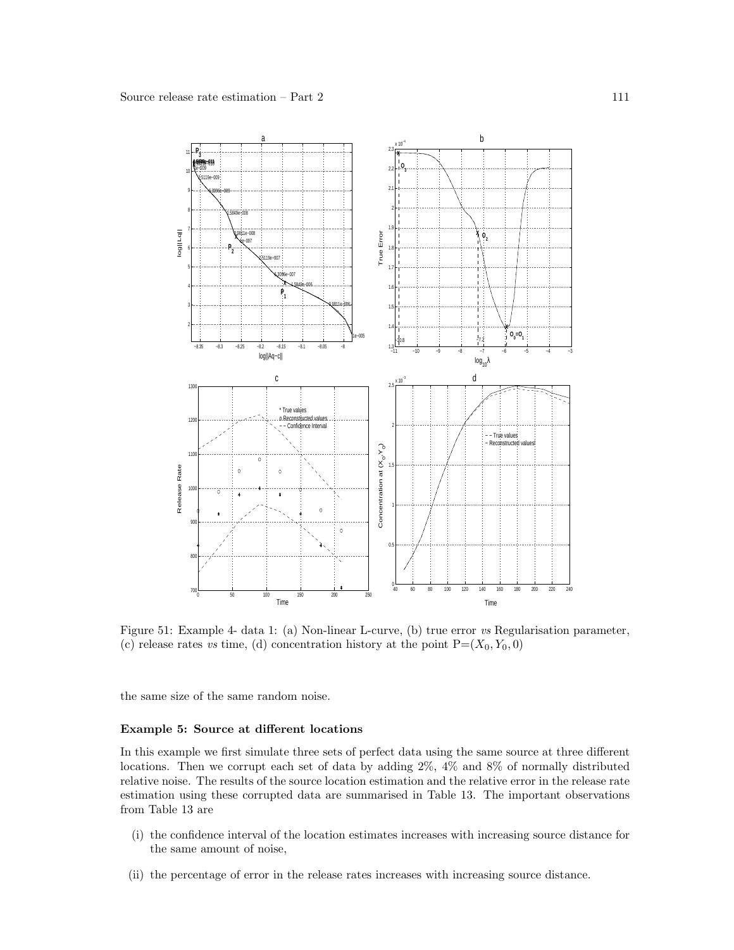

Figure 51: Example 4- data 1: (a) Non-linear L-curve, (b) true error vs Regularisation parameter, (c) release rates vs time, (d) concentration history at the point  $P=(X_0, Y_0, 0)$ 

the same size of the same random noise.

## Example 5: Source at different locations

In this example we first simulate three sets of perfect data using the same source at three different locations. Then we corrupt each set of data by adding 2%, 4% and 8% of normally distributed relative noise. The results of the source location estimation and the relative error in the release rate estimation using these corrupted data are summarised in Table 13. The important observations from Table 13 are

- (i) the confidence interval of the location estimates increases with increasing source distance for the same amount of noise,
- (ii) the percentage of error in the release rates increases with increasing source distance.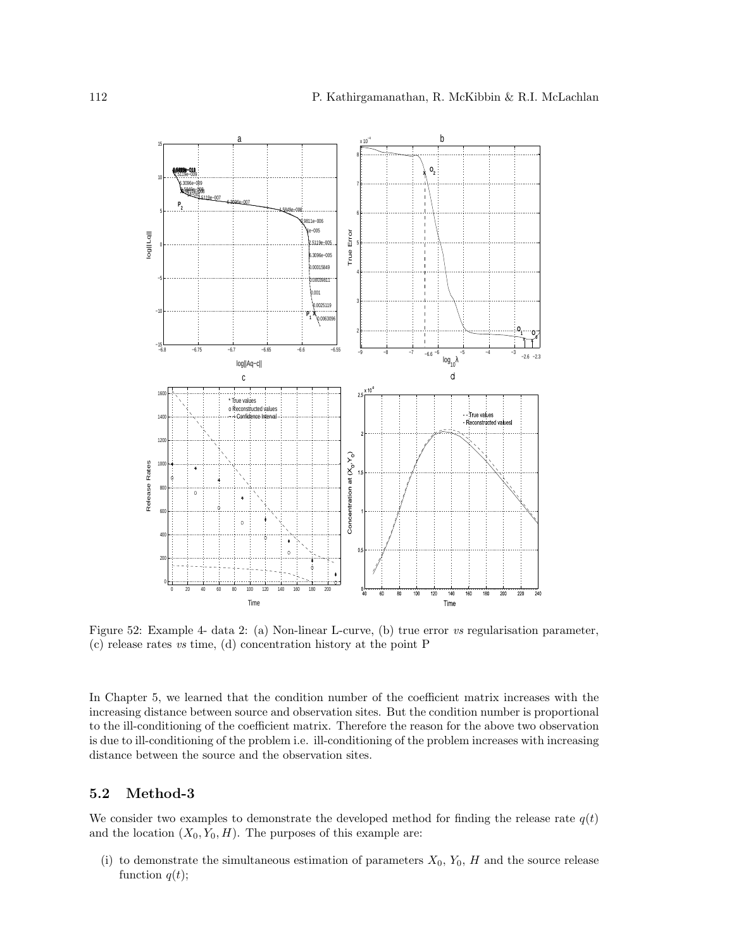

Figure 52: Example 4- data 2: (a) Non-linear L-curve, (b) true error vs regularisation parameter, (c) release rates vs time, (d) concentration history at the point P

In Chapter 5, we learned that the condition number of the coefficient matrix increases with the increasing distance between source and observation sites. But the condition number is proportional to the ill-conditioning of the coefficient matrix. Therefore the reason for the above two observation is due to ill-conditioning of the problem i.e. ill-conditioning of the problem increases with increasing distance between the source and the observation sites.

# 5.2 Method-3

We consider two examples to demonstrate the developed method for finding the release rate  $q(t)$ and the location  $(X_0, Y_0, H)$ . The purposes of this example are:

(i) to demonstrate the simultaneous estimation of parameters  $X_0$ ,  $Y_0$ ,  $H$  and the source release function  $q(t)$ ;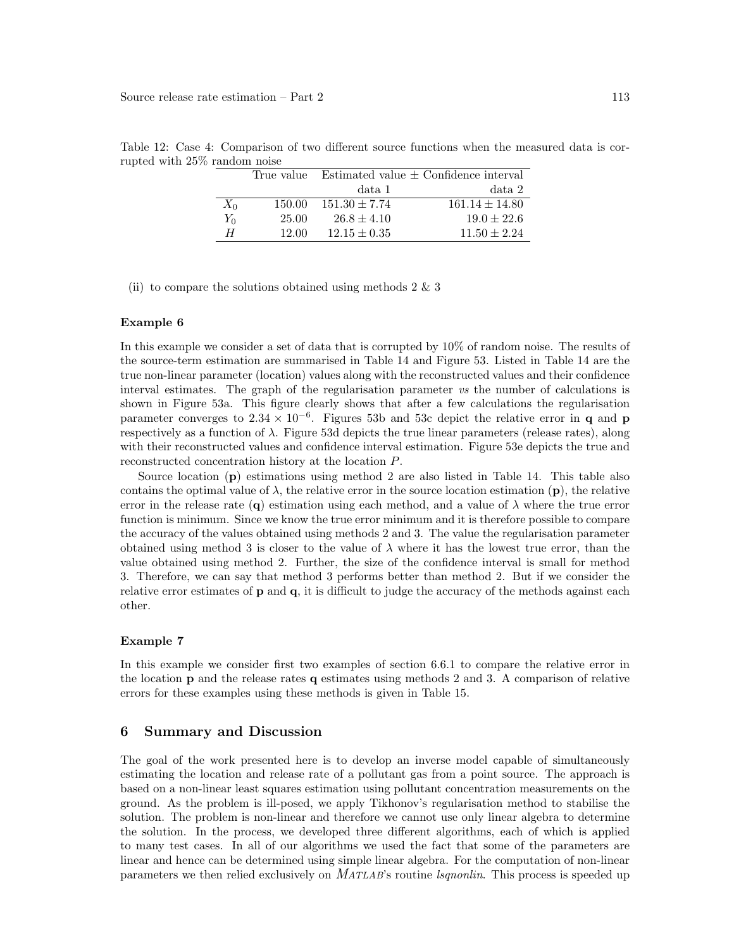|       |        |                   | True value Estimated value $\pm$ Confidence interval |
|-------|--------|-------------------|------------------------------------------------------|
|       |        | data 1            | data 2                                               |
| $X_0$ | 150.00 | $151.30 \pm 7.74$ | $161.14 \pm 14.80$                                   |
| $Y_0$ | 25.00  | $26.8 \pm 4.10$   | $19.0 \pm 22.6$                                      |
| Н     | 12.00  | $12.15 \pm 0.35$  | $11.50 \pm 2.24$                                     |

Table 12: Case 4: Comparison of two different source functions when the measured data is corrupted with 25% random noise

(ii) to compare the solutions obtained using methods  $2 \& 3$ 

#### Example 6

In this example we consider a set of data that is corrupted by 10% of random noise. The results of the source-term estimation are summarised in Table 14 and Figure 53. Listed in Table 14 are the true non-linear parameter (location) values along with the reconstructed values and their confidence interval estimates. The graph of the regularisation parameter vs the number of calculations is shown in Figure 53a. This figure clearly shows that after a few calculations the regularisation parameter converges to  $2.34 \times 10^{-6}$ . Figures 53b and 53c depict the relative error in q and p respectively as a function of  $\lambda$ . Figure 53d depicts the true linear parameters (release rates), along with their reconstructed values and confidence interval estimation. Figure 53e depicts the true and reconstructed concentration history at the location P.

Source location (p) estimations using method 2 are also listed in Table 14. This table also contains the optimal value of  $\lambda$ , the relative error in the source location estimation (p), the relative error in the release rate (q) estimation using each method, and a value of  $\lambda$  where the true error function is minimum. Since we know the true error minimum and it is therefore possible to compare the accuracy of the values obtained using methods 2 and 3. The value the regularisation parameter obtained using method 3 is closer to the value of  $\lambda$  where it has the lowest true error, than the value obtained using method 2. Further, the size of the confidence interval is small for method 3. Therefore, we can say that method 3 performs better than method 2. But if we consider the relative error estimates of p and q, it is difficult to judge the accuracy of the methods against each other.

## Example 7

In this example we consider first two examples of section 6.6.1 to compare the relative error in the location p and the release rates q estimates using methods 2 and 3. A comparison of relative errors for these examples using these methods is given in Table 15.

## 6 Summary and Discussion

The goal of the work presented here is to develop an inverse model capable of simultaneously estimating the location and release rate of a pollutant gas from a point source. The approach is based on a non-linear least squares estimation using pollutant concentration measurements on the ground. As the problem is ill-posed, we apply Tikhonov's regularisation method to stabilise the solution. The problem is non-linear and therefore we cannot use only linear algebra to determine the solution. In the process, we developed three different algorithms, each of which is applied to many test cases. In all of our algorithms we used the fact that some of the parameters are linear and hence can be determined using simple linear algebra. For the computation of non-linear parameters we then relied exclusively on *MATLAB*'s routine *lsqnonlin*. This process is speeded up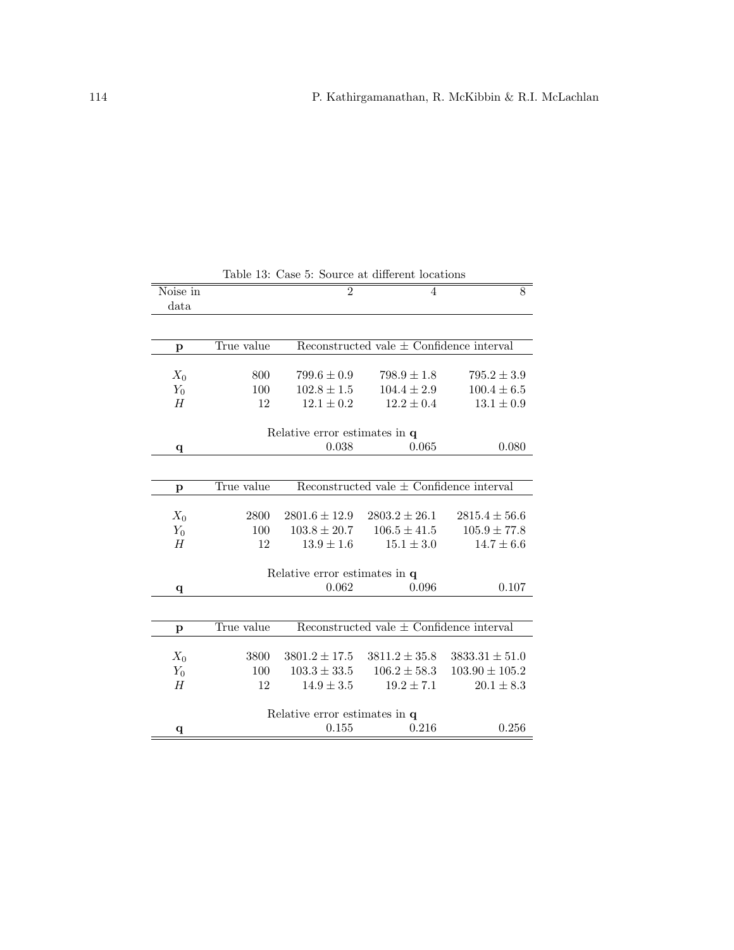| Noise in     |                               | $\overline{2}$                     | 4                                            | 8                                  |  |
|--------------|-------------------------------|------------------------------------|----------------------------------------------|------------------------------------|--|
| data         |                               |                                    |                                              |                                    |  |
|              |                               |                                    |                                              |                                    |  |
| p            | True value                    |                                    | Reconstructed vale $\pm$ Confidence interval |                                    |  |
| $X_0$        | 800                           | $799.6 \pm 0.9$                    | $798.9 \pm 1.8$                              | $795.2 \pm 3.9$                    |  |
| $Y_0$        | 100                           | $102.8 \pm 1.5$                    | $104.4 \pm 2.9$                              | $100.4 \pm 6.5$                    |  |
| H            | 12                            | $12.1 \pm 0.2$                     | $12.2 \pm 0.4$                               | $13.1 \pm 0.9$                     |  |
|              |                               | Relative error estimates in q      |                                              |                                    |  |
| $\mathbf q$  |                               | 0.038                              | 0.065                                        | 0.080                              |  |
|              |                               |                                    |                                              |                                    |  |
| $\mathbf{p}$ | True value                    |                                    | Reconstructed vale $\pm$ Confidence interval |                                    |  |
|              |                               |                                    | $2803.2 \pm 26.1$                            |                                    |  |
| $X_0$        | 2800<br>100                   | $2801.6 \pm 12.9$                  | $106.5 \pm 41.5$                             | $2815.4 \pm 56.6$                  |  |
| $Y_0$<br>H   | 12                            | $103.8 \pm 20.7$<br>$13.9 \pm 1.6$ | $15.1 \pm 3.0$                               | $105.9 \pm 77.8$<br>$14.7 \pm 6.6$ |  |
|              |                               |                                    |                                              |                                    |  |
|              | Relative error estimates in q |                                    |                                              |                                    |  |
| q            |                               | 0.062                              | 0.096                                        | 0.107                              |  |
|              |                               |                                    |                                              |                                    |  |
| p            | True value                    |                                    | Reconstructed vale $\pm$ Confidence interval |                                    |  |
| $X_0$        | 3800                          | $3801.2 \pm 17.5$                  | $3811.2 \pm 35.8$                            | $3833.31 \pm 51.0$                 |  |
| $Y_0$        | 100                           | $103.3 \pm 33.5$                   | $106.2 \pm 58.3$                             | $103.90 \pm 105.2$                 |  |
| H            | 12                            | $14.9 \pm 3.5$                     | $19.2 \pm 7.1$                               | $20.1 \pm 8.3$                     |  |
|              |                               |                                    |                                              |                                    |  |
|              |                               | Relative error estimates in q      |                                              |                                    |  |
| $\mathbf q$  |                               | 0.155                              | 0.216                                        | 0.256                              |  |
|              |                               |                                    |                                              |                                    |  |

Table 13: Case 5: Source at different locations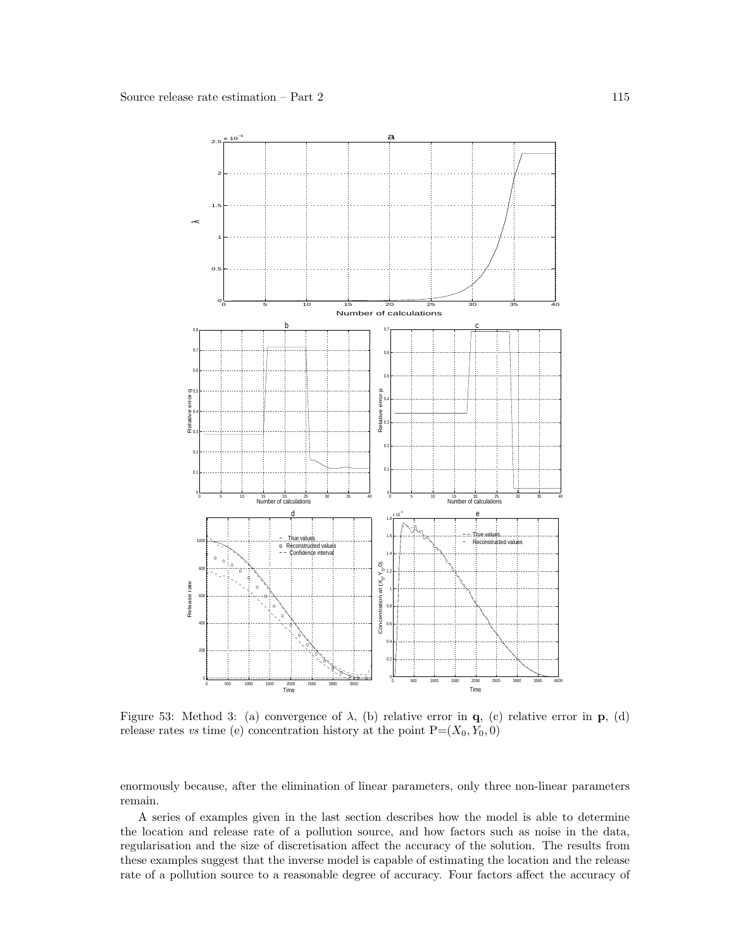

Figure 53: Method 3: (a) convergence of  $\lambda$ , (b) relative error in q, (c) relative error in p, (d) release rates vs time (e) concentration history at the point  $P=(X_0, Y_0, 0)$ 

enormously because, after the elimination of linear parameters, only three non-linear parameters remain.

A series of examples given in the last section describes how the model is able to determine the location and release rate of a pollution source, and how factors such as noise in the data, regularisation and the size of discretisation affect the accuracy of the solution. The results from these examples suggest that the inverse model is capable of estimating the location and the release rate of a pollution source to a reasonable degree of accuracy. Four factors affect the accuracy of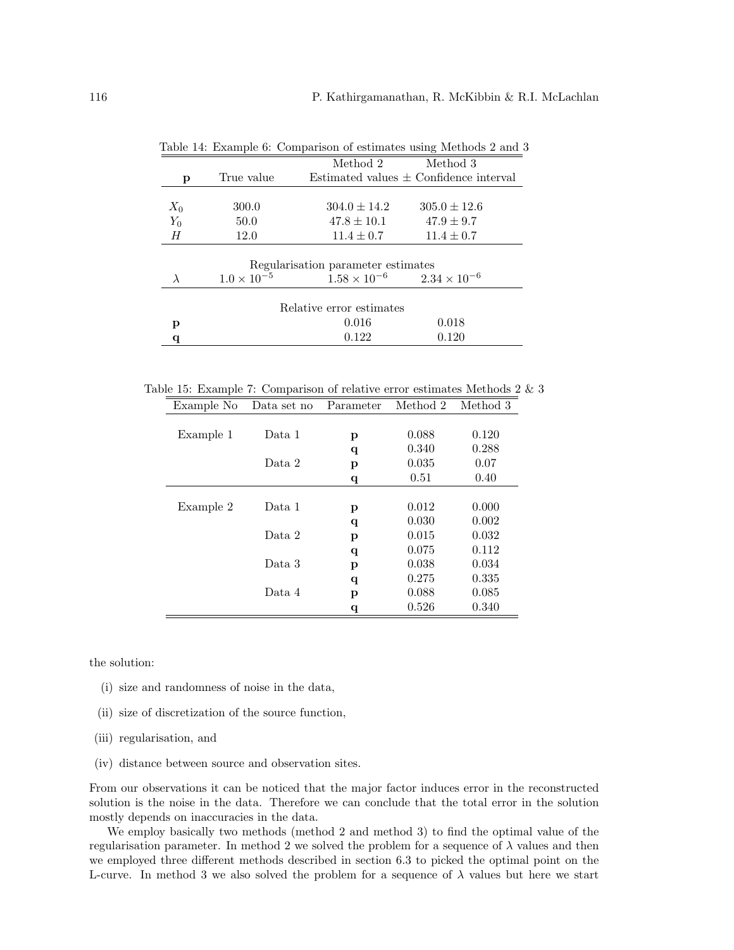|                          |                      | Method 2                           | Method 3                                   |  |
|--------------------------|----------------------|------------------------------------|--------------------------------------------|--|
| p                        | True value           |                                    | Estimated values $\pm$ Confidence interval |  |
|                          |                      |                                    |                                            |  |
| $X_0$                    | 300.0                | $304.0 \pm 14.2$                   | $305.0 \pm 12.6$                           |  |
| $Y_0$                    | 50.0                 | $47.8 \pm 10.1$                    | $47.9 \pm 9.7$                             |  |
| Н                        | 12.0                 | $11.4 \pm 0.7$                     | $11.4 \pm 0.7$                             |  |
|                          |                      |                                    |                                            |  |
|                          |                      | Regularization parameter estimates |                                            |  |
|                          | $1.0 \times 10^{-5}$ | $1.58 \times 10^{-6}$              | $2.34 \times 10^{-6}$                      |  |
|                          |                      |                                    |                                            |  |
| Relative error estimates |                      |                                    |                                            |  |
| р                        |                      | 0.016                              | 0.018                                      |  |
|                          |                      | 0.122                              | 0.120                                      |  |

Table 14: Example 6: Comparison of estimates using Methods 2 and 3

Table 15: Example 7: Comparison of relative error estimates Methods 2  $\&$  3 Example No Data set no Parameter Method 2 Method 3

| тхашре то | рата вет по | т агашелет | wiecnou z | neemog o |
|-----------|-------------|------------|-----------|----------|
|           |             |            |           |          |
| Example 1 | Data 1      | р          | 0.088     | 0.120    |
|           |             | q          | 0.340     | 0.288    |
|           | Data 2      | р          | 0.035     | 0.07     |
|           |             | q          | 0.51      | 0.40     |
|           |             |            |           |          |
| Example 2 | Data 1      | p          | 0.012     | 0.000    |
|           |             | q          | 0.030     | 0.002    |
|           | Data 2      | р          | 0.015     | 0.032    |
|           |             | q          | 0.075     | 0.112    |
|           | Data 3      | р          | 0.038     | 0.034    |
|           |             | q          | 0.275     | 0.335    |
|           | Data 4      | р          | 0.088     | 0.085    |
|           |             | q          | 0.526     | 0.340    |

the solution:

- (i) size and randomness of noise in the data,
- (ii) size of discretization of the source function,
- (iii) regularisation, and
- (iv) distance between source and observation sites.

From our observations it can be noticed that the major factor induces error in the reconstructed solution is the noise in the data. Therefore we can conclude that the total error in the solution mostly depends on inaccuracies in the data.

We employ basically two methods (method 2 and method 3) to find the optimal value of the regularisation parameter. In method 2 we solved the problem for a sequence of  $\lambda$  values and then we employed three different methods described in section 6.3 to picked the optimal point on the L-curve. In method 3 we also solved the problem for a sequence of  $\lambda$  values but here we start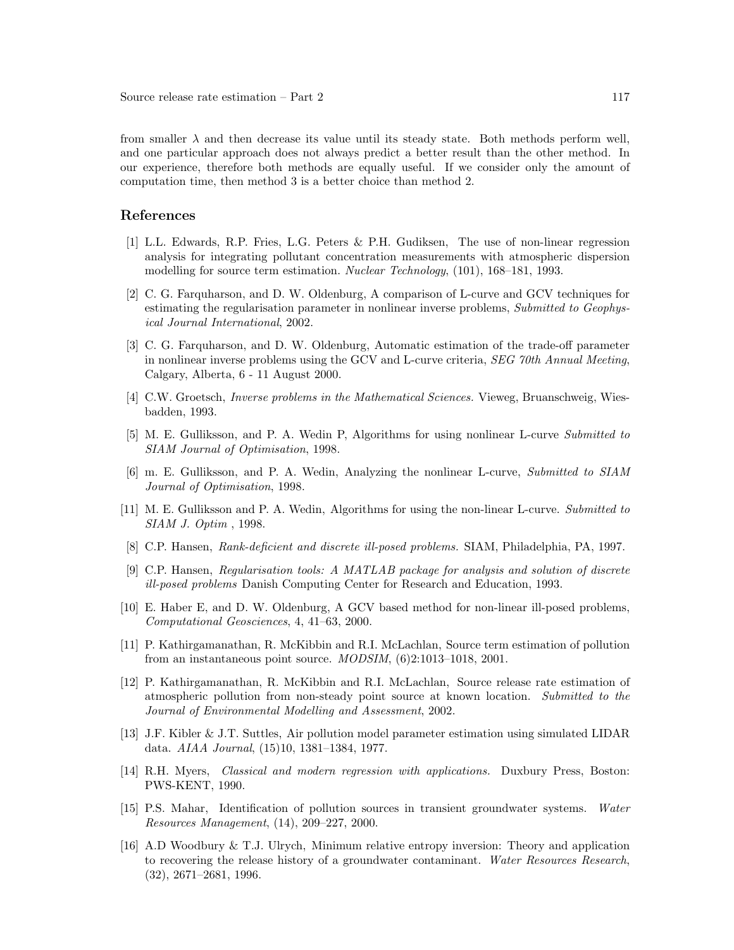from smaller  $\lambda$  and then decrease its value until its steady state. Both methods perform well, and one particular approach does not always predict a better result than the other method. In our experience, therefore both methods are equally useful. If we consider only the amount of computation time, then method 3 is a better choice than method 2.

## References

- [1] L.L. Edwards, R.P. Fries, L.G. Peters & P.H. Gudiksen, The use of non-linear regression analysis for integrating pollutant concentration measurements with atmospheric dispersion modelling for source term estimation. Nuclear Technology, (101), 168–181, 1993.
- [2] C. G. Farquharson, and D. W. Oldenburg, A comparison of L-curve and GCV techniques for estimating the regularisation parameter in nonlinear inverse problems, Submitted to Geophysical Journal International, 2002.
- [3] C. G. Farquharson, and D. W. Oldenburg, Automatic estimation of the trade-off parameter in nonlinear inverse problems using the GCV and L-curve criteria, SEG 70th Annual Meeting, Calgary, Alberta, 6 - 11 August 2000.
- [4] C.W. Groetsch, Inverse problems in the Mathematical Sciences. Vieweg, Bruanschweig, Wiesbadden, 1993.
- [5] M. E. Gulliksson, and P. A. Wedin P, Algorithms for using nonlinear L-curve Submitted to SIAM Journal of Optimisation, 1998.
- [6] m. E. Gulliksson, and P. A. Wedin, Analyzing the nonlinear L-curve, Submitted to SIAM Journal of Optimisation, 1998.
- [11] M. E. Gulliksson and P. A. Wedin, Algorithms for using the non-linear L-curve. Submitted to SIAM J. Optim , 1998.
- [8] C.P. Hansen, Rank-deficient and discrete ill-posed problems. SIAM, Philadelphia, PA, 1997.
- [9] C.P. Hansen, Regularisation tools: A MATLAB package for analysis and solution of discrete ill-posed problems Danish Computing Center for Research and Education, 1993.
- [10] E. Haber E, and D. W. Oldenburg, A GCV based method for non-linear ill-posed problems, Computational Geosciences, 4, 41–63, 2000.
- [11] P. Kathirgamanathan, R. McKibbin and R.I. McLachlan, Source term estimation of pollution from an instantaneous point source. MODSIM, (6)2:1013–1018, 2001.
- [12] P. Kathirgamanathan, R. McKibbin and R.I. McLachlan, Source release rate estimation of atmospheric pollution from non-steady point source at known location. Submitted to the Journal of Environmental Modelling and Assessment, 2002.
- [13] J.F. Kibler & J.T. Suttles, Air pollution model parameter estimation using simulated LIDAR data. AIAA Journal, (15)10, 1381–1384, 1977.
- [14] R.H. Myers, Classical and modern regression with applications. Duxbury Press, Boston: PWS-KENT, 1990.
- [15] P.S. Mahar, Identification of pollution sources in transient groundwater systems. Water Resources Management, (14), 209–227, 2000.
- [16] A.D Woodbury & T.J. Ulrych, Minimum relative entropy inversion: Theory and application to recovering the release history of a groundwater contaminant. Water Resources Research, (32), 2671–2681, 1996.